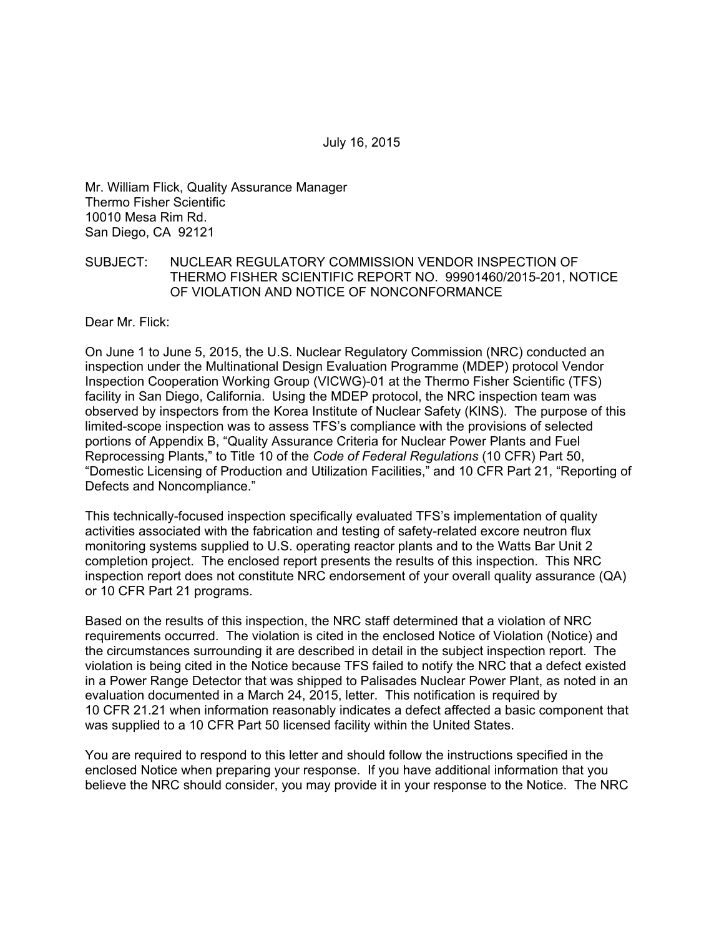Mr. William Flick, Quality Assurance Manager Thermo Fisher Scientific 10010 Mesa Rim Rd. San Diego, CA 92121

#### SUBJECT: NUCLEAR REGULATORY COMMISSION VENDOR INSPECTION OF THERMO FISHER SCIENTIFIC REPORT NO. 99901460/2015-201, NOTICE OF VIOLATION AND NOTICE OF NONCONFORMANCE

Dear Mr. Flick:

On June 1 to June 5, 2015, the U.S. Nuclear Regulatory Commission (NRC) conducted an inspection under the Multinational Design Evaluation Programme (MDEP) protocol Vendor Inspection Cooperation Working Group (VICWG)-01 at the Thermo Fisher Scientific (TFS) facility in San Diego, California. Using the MDEP protocol, the NRC inspection team was observed by inspectors from the Korea Institute of Nuclear Safety (KINS). The purpose of this limited-scope inspection was to assess TFS's compliance with the provisions of selected portions of Appendix B, "Quality Assurance Criteria for Nuclear Power Plants and Fuel Reprocessing Plants," to Title 10 of the *Code of Federal Regulations* (10 CFR) Part 50, "Domestic Licensing of Production and Utilization Facilities," and 10 CFR Part 21, "Reporting of Defects and Noncompliance."

This technically-focused inspection specifically evaluated TFS's implementation of quality activities associated with the fabrication and testing of safety-related excore neutron flux monitoring systems supplied to U.S. operating reactor plants and to the Watts Bar Unit 2 completion project. The enclosed report presents the results of this inspection. This NRC inspection report does not constitute NRC endorsement of your overall quality assurance (QA) or 10 CFR Part 21 programs.

Based on the results of this inspection, the NRC staff determined that a violation of NRC requirements occurred. The violation is cited in the enclosed Notice of Violation (Notice) and the circumstances surrounding it are described in detail in the subject inspection report. The violation is being cited in the Notice because TFS failed to notify the NRC that a defect existed in a Power Range Detector that was shipped to Palisades Nuclear Power Plant, as noted in an evaluation documented in a March 24, 2015, letter. This notification is required by 10 CFR 21.21 when information reasonably indicates a defect affected a basic component that was supplied to a 10 CFR Part 50 licensed facility within the United States.

You are required to respond to this letter and should follow the instructions specified in the enclosed Notice when preparing your response. If you have additional information that you believe the NRC should consider, you may provide it in your response to the Notice. The NRC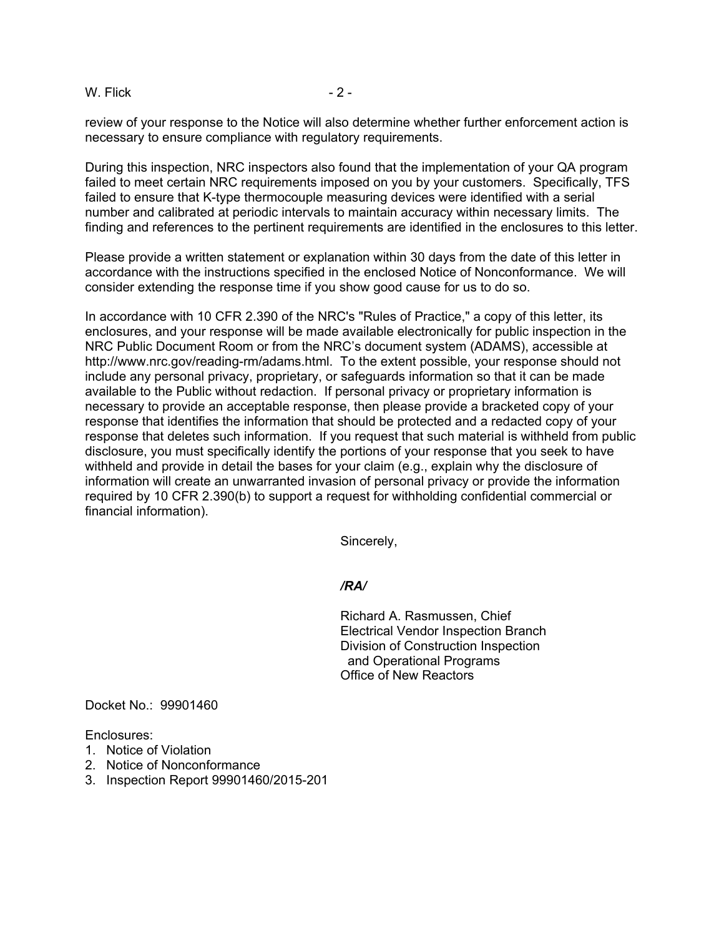#### W. Flick  $-2 -$

review of your response to the Notice will also determine whether further enforcement action is necessary to ensure compliance with regulatory requirements.

During this inspection, NRC inspectors also found that the implementation of your QA program failed to meet certain NRC requirements imposed on you by your customers. Specifically, TFS failed to ensure that K-type thermocouple measuring devices were identified with a serial number and calibrated at periodic intervals to maintain accuracy within necessary limits. The finding and references to the pertinent requirements are identified in the enclosures to this letter.

Please provide a written statement or explanation within 30 days from the date of this letter in accordance with the instructions specified in the enclosed Notice of Nonconformance. We will consider extending the response time if you show good cause for us to do so.

In accordance with 10 CFR 2.390 of the NRC's "Rules of Practice," a copy of this letter, its enclosures, and your response will be made available electronically for public inspection in the NRC Public Document Room or from the NRC's document system (ADAMS), accessible at http://www.nrc.gov/reading-rm/adams.html. To the extent possible, your response should not include any personal privacy, proprietary, or safeguards information so that it can be made available to the Public without redaction. If personal privacy or proprietary information is necessary to provide an acceptable response, then please provide a bracketed copy of your response that identifies the information that should be protected and a redacted copy of your response that deletes such information. If you request that such material is withheld from public disclosure, you must specifically identify the portions of your response that you seek to have withheld and provide in detail the bases for your claim (e.g., explain why the disclosure of information will create an unwarranted invasion of personal privacy or provide the information required by 10 CFR 2.390(b) to support a request for withholding confidential commercial or financial information).

Sincerely,

*/RA/* 

Richard A. Rasmussen, Chief Electrical Vendor Inspection Branch Division of Construction Inspection and Operational Programs Office of New Reactors

Docket No.: 99901460

Enclosures:

- 1. Notice of Violation
- 2. Notice of Nonconformance
- 3. Inspection Report 99901460/2015-201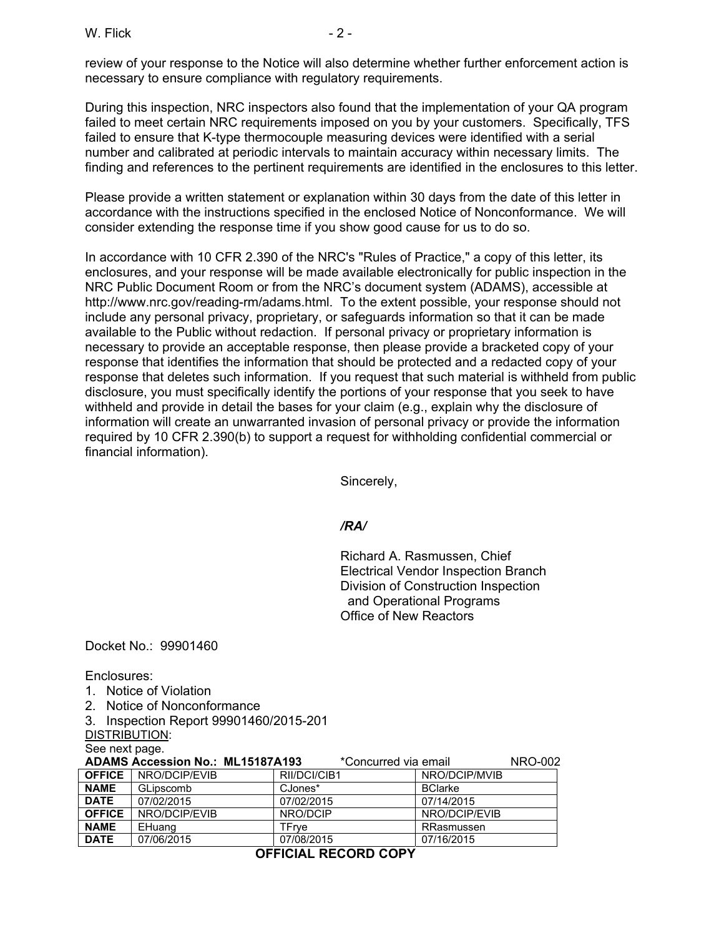W. Flick  $-2$  -

review of your response to the Notice will also determine whether further enforcement action is necessary to ensure compliance with regulatory requirements.

During this inspection, NRC inspectors also found that the implementation of your QA program failed to meet certain NRC requirements imposed on you by your customers. Specifically, TFS failed to ensure that K-type thermocouple measuring devices were identified with a serial number and calibrated at periodic intervals to maintain accuracy within necessary limits. The finding and references to the pertinent requirements are identified in the enclosures to this letter.

Please provide a written statement or explanation within 30 days from the date of this letter in accordance with the instructions specified in the enclosed Notice of Nonconformance. We will consider extending the response time if you show good cause for us to do so.

In accordance with 10 CFR 2.390 of the NRC's "Rules of Practice," a copy of this letter, its enclosures, and your response will be made available electronically for public inspection in the NRC Public Document Room or from the NRC's document system (ADAMS), accessible at http://www.nrc.gov/reading-rm/adams.html. To the extent possible, your response should not include any personal privacy, proprietary, or safeguards information so that it can be made available to the Public without redaction. If personal privacy or proprietary information is necessary to provide an acceptable response, then please provide a bracketed copy of your response that identifies the information that should be protected and a redacted copy of your response that deletes such information. If you request that such material is withheld from public disclosure, you must specifically identify the portions of your response that you seek to have withheld and provide in detail the bases for your claim (e.g., explain why the disclosure of information will create an unwarranted invasion of personal privacy or provide the information required by 10 CFR 2.390(b) to support a request for withholding confidential commercial or financial information).

Sincerely,

## */RA/*

Richard A. Rasmussen, Chief Electrical Vendor Inspection Branch Division of Construction Inspection and Operational Programs Office of New Reactors

Docket No.: 99901460

Enclosures:

- 1. Notice of Violation
- 2. Notice of Nonconformance
- 3. Inspection Report 99901460/2015-201
- DISTRIBUTION:

See next page.

|               | <b>ADAMS Accession No.: ML15187A193</b> |              | *Concurred via email | <b>NRO-002</b> |
|---------------|-----------------------------------------|--------------|----------------------|----------------|
| <b>OFFICE</b> | NRO/DCIP/EVIB                           | RII/DCI/CIB1 | NRO/DCIP/MVIB        |                |
| <b>NAME</b>   | GLipscomb                               | CJones*      | <b>BClarke</b>       |                |
| <b>DATE</b>   | 07/02/2015                              | 07/02/2015   | 07/14/2015           |                |
| <b>OFFICE</b> | NRO/DCIP/EVIB                           | NRO/DCIP     | NRO/DCIP/EVIB        |                |
| <b>NAME</b>   | EHuang                                  | TFrve        | RRasmussen           |                |
| <b>DATE</b>   | 07/06/2015                              | 07/08/2015   | 07/16/2015           |                |

**OFFICIAL RECORD COPY**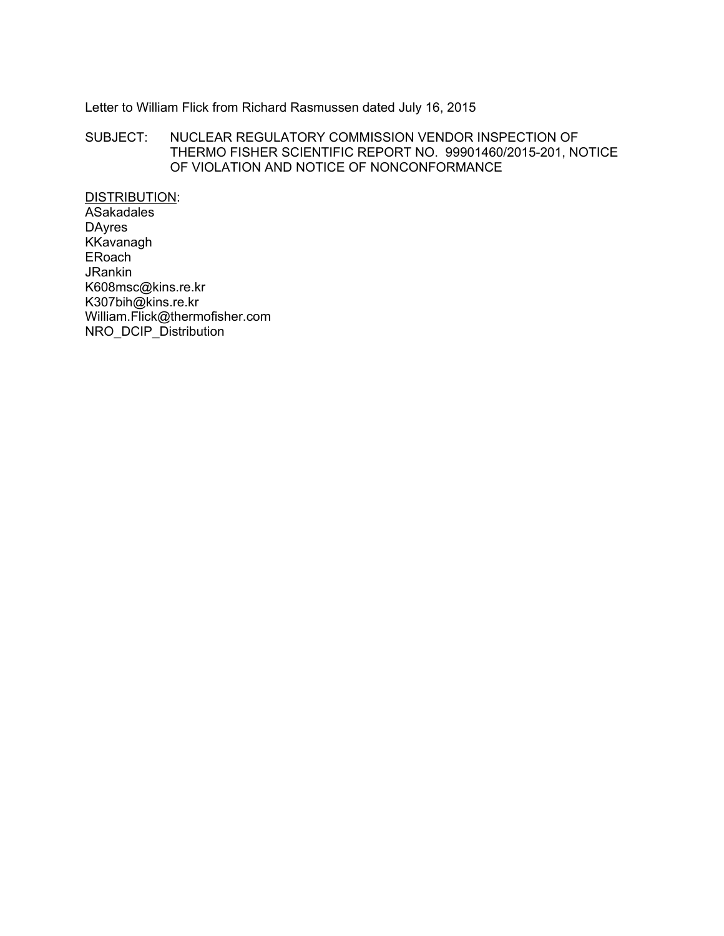# Letter to William Flick from Richard Rasmussen dated July 16, 2015

### SUBJECT: NUCLEAR REGULATORY COMMISSION VENDOR INSPECTION OF THERMO FISHER SCIENTIFIC REPORT NO. 99901460/2015-201, NOTICE OF VIOLATION AND NOTICE OF NONCONFORMANCE

DISTRIBUTION: **ASakadales** DAyres KKavanagh ERoach JRankin K608msc@kins.re.kr K307bih@kins.re.kr William.Flick@thermofisher.com NRO\_DCIP\_Distribution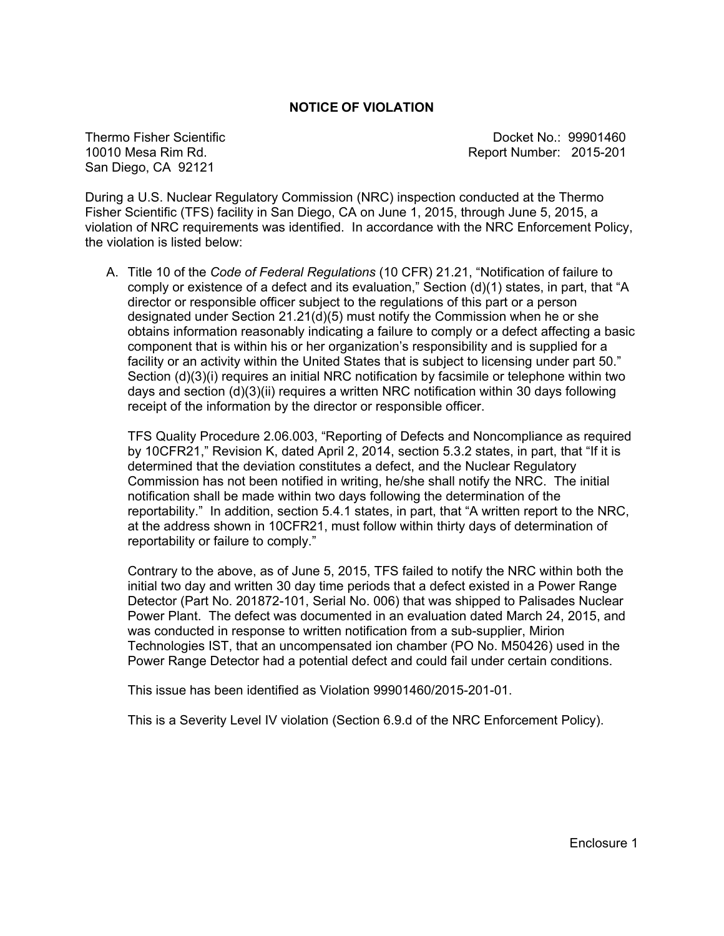#### **NOTICE OF VIOLATION**

Thermo Fisher Scientific 10010 Mesa Rim Rd. San Diego, CA 92121

 Docket No.: 99901460 Report Number: 2015-201

During a U.S. Nuclear Regulatory Commission (NRC) inspection conducted at the Thermo Fisher Scientific (TFS) facility in San Diego, CA on June 1, 2015, through June 5, 2015, a violation of NRC requirements was identified. In accordance with the NRC Enforcement Policy, the violation is listed below:

A. Title 10 of the *Code of Federal Regulations* (10 CFR) 21.21, "Notification of failure to comply or existence of a defect and its evaluation," Section (d)(1) states, in part, that "A director or responsible officer subject to the regulations of this part or a person designated under Section 21.21(d)(5) must notify the Commission when he or she obtains information reasonably indicating a failure to comply or a defect affecting a basic component that is within his or her organization's responsibility and is supplied for a facility or an activity within the United States that is subject to licensing under part 50." Section (d)(3)(i) requires an initial NRC notification by facsimile or telephone within two days and section (d)(3)(ii) requires a written NRC notification within 30 days following receipt of the information by the director or responsible officer.

TFS Quality Procedure 2.06.003, "Reporting of Defects and Noncompliance as required by 10CFR21," Revision K, dated April 2, 2014, section 5.3.2 states, in part, that "If it is determined that the deviation constitutes a defect, and the Nuclear Regulatory Commission has not been notified in writing, he/she shall notify the NRC. The initial notification shall be made within two days following the determination of the reportability." In addition, section 5.4.1 states, in part, that "A written report to the NRC, at the address shown in 10CFR21, must follow within thirty days of determination of reportability or failure to comply."

Contrary to the above, as of June 5, 2015, TFS failed to notify the NRC within both the initial two day and written 30 day time periods that a defect existed in a Power Range Detector (Part No. 201872-101, Serial No. 006) that was shipped to Palisades Nuclear Power Plant. The defect was documented in an evaluation dated March 24, 2015, and was conducted in response to written notification from a sub-supplier, Mirion Technologies IST, that an uncompensated ion chamber (PO No. M50426) used in the Power Range Detector had a potential defect and could fail under certain conditions.

This issue has been identified as Violation 99901460/2015-201-01.

This is a Severity Level IV violation (Section 6.9.d of the NRC Enforcement Policy).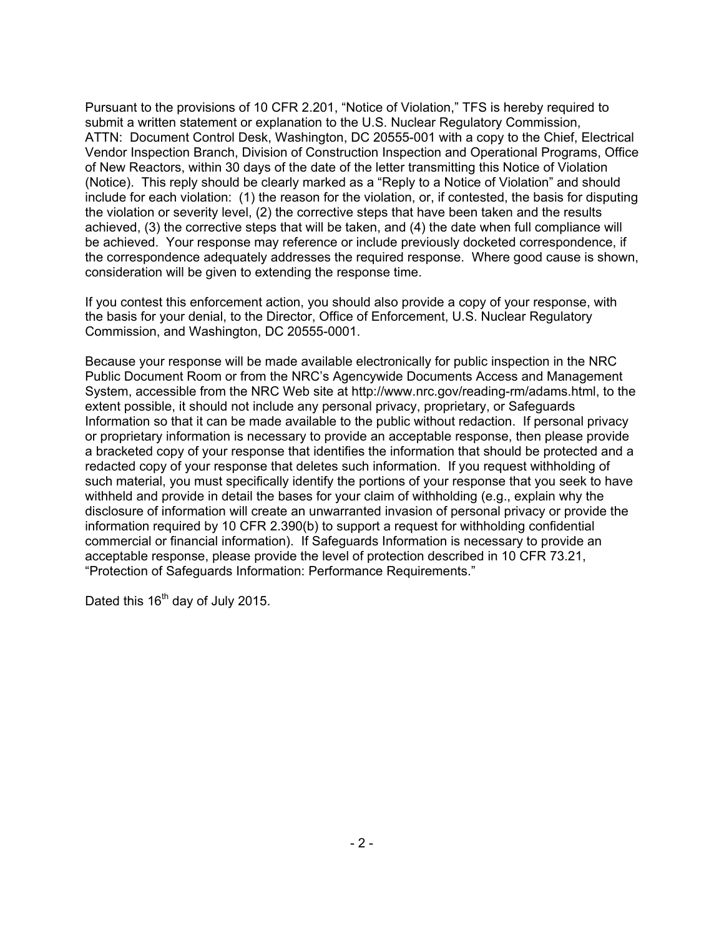Pursuant to the provisions of 10 CFR 2.201, "Notice of Violation," TFS is hereby required to submit a written statement or explanation to the U.S. Nuclear Regulatory Commission, ATTN: Document Control Desk, Washington, DC 20555-001 with a copy to the Chief, Electrical Vendor Inspection Branch, Division of Construction Inspection and Operational Programs, Office of New Reactors, within 30 days of the date of the letter transmitting this Notice of Violation (Notice). This reply should be clearly marked as a "Reply to a Notice of Violation" and should include for each violation: (1) the reason for the violation, or, if contested, the basis for disputing the violation or severity level, (2) the corrective steps that have been taken and the results achieved, (3) the corrective steps that will be taken, and (4) the date when full compliance will be achieved. Your response may reference or include previously docketed correspondence, if the correspondence adequately addresses the required response. Where good cause is shown, consideration will be given to extending the response time.

If you contest this enforcement action, you should also provide a copy of your response, with the basis for your denial, to the Director, Office of Enforcement, U.S. Nuclear Regulatory Commission, and Washington, DC 20555-0001.

Because your response will be made available electronically for public inspection in the NRC Public Document Room or from the NRC's Agencywide Documents Access and Management System, accessible from the NRC Web site at http://www.nrc.gov/reading-rm/adams.html, to the extent possible, it should not include any personal privacy, proprietary, or Safeguards Information so that it can be made available to the public without redaction. If personal privacy or proprietary information is necessary to provide an acceptable response, then please provide a bracketed copy of your response that identifies the information that should be protected and a redacted copy of your response that deletes such information. If you request withholding of such material, you must specifically identify the portions of your response that you seek to have withheld and provide in detail the bases for your claim of withholding (e.g., explain why the disclosure of information will create an unwarranted invasion of personal privacy or provide the information required by 10 CFR 2.390(b) to support a request for withholding confidential commercial or financial information). If Safeguards Information is necessary to provide an acceptable response, please provide the level of protection described in 10 CFR 73.21, "Protection of Safeguards Information: Performance Requirements."

Dated this 16<sup>th</sup> day of July 2015.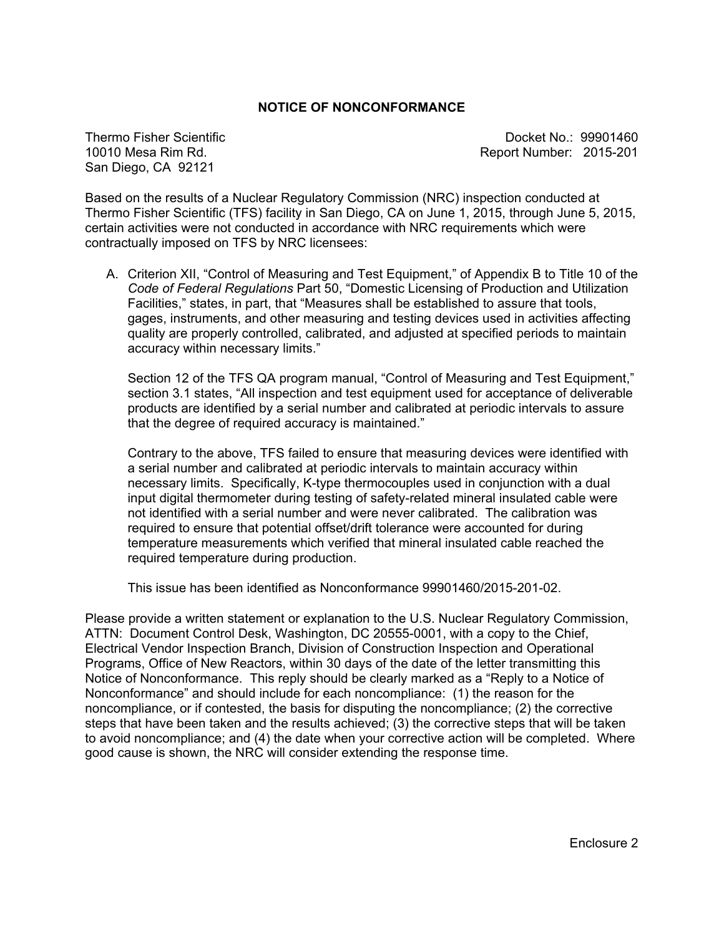#### **NOTICE OF NONCONFORMANCE**

Thermo Fisher Scientific 10010 Mesa Rim Rd. San Diego, CA 92121

Docket No.: 99901460 Report Number: 2015-201

Based on the results of a Nuclear Regulatory Commission (NRC) inspection conducted at Thermo Fisher Scientific (TFS) facility in San Diego, CA on June 1, 2015, through June 5, 2015, certain activities were not conducted in accordance with NRC requirements which were contractually imposed on TFS by NRC licensees:

A. Criterion XII, "Control of Measuring and Test Equipment," of Appendix B to Title 10 of the *Code of Federal Regulations* Part 50, "Domestic Licensing of Production and Utilization Facilities," states, in part, that "Measures shall be established to assure that tools, gages, instruments, and other measuring and testing devices used in activities affecting quality are properly controlled, calibrated, and adjusted at specified periods to maintain accuracy within necessary limits."

 Section 12 of the TFS QA program manual, "Control of Measuring and Test Equipment," section 3.1 states, "All inspection and test equipment used for acceptance of deliverable products are identified by a serial number and calibrated at periodic intervals to assure that the degree of required accuracy is maintained."

Contrary to the above, TFS failed to ensure that measuring devices were identified with a serial number and calibrated at periodic intervals to maintain accuracy within necessary limits. Specifically, K-type thermocouples used in conjunction with a dual input digital thermometer during testing of safety-related mineral insulated cable were not identified with a serial number and were never calibrated. The calibration was required to ensure that potential offset/drift tolerance were accounted for during temperature measurements which verified that mineral insulated cable reached the required temperature during production.

This issue has been identified as Nonconformance 99901460/2015-201-02.

Please provide a written statement or explanation to the U.S. Nuclear Regulatory Commission, ATTN: Document Control Desk, Washington, DC 20555-0001, with a copy to the Chief, Electrical Vendor Inspection Branch, Division of Construction Inspection and Operational Programs, Office of New Reactors, within 30 days of the date of the letter transmitting this Notice of Nonconformance. This reply should be clearly marked as a "Reply to a Notice of Nonconformance" and should include for each noncompliance: (1) the reason for the noncompliance, or if contested, the basis for disputing the noncompliance; (2) the corrective steps that have been taken and the results achieved; (3) the corrective steps that will be taken to avoid noncompliance; and (4) the date when your corrective action will be completed. Where good cause is shown, the NRC will consider extending the response time.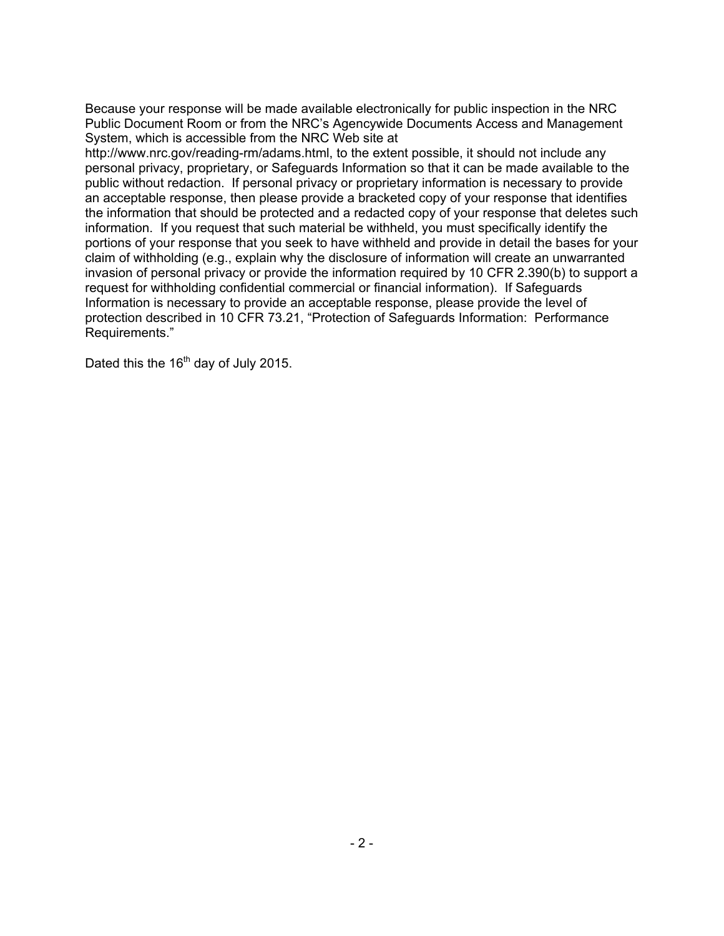Because your response will be made available electronically for public inspection in the NRC Public Document Room or from the NRC's Agencywide Documents Access and Management System, which is accessible from the NRC Web site at

http://www.nrc.gov/reading-rm/adams.html, to the extent possible, it should not include any personal privacy, proprietary, or Safeguards Information so that it can be made available to the public without redaction. If personal privacy or proprietary information is necessary to provide an acceptable response, then please provide a bracketed copy of your response that identifies the information that should be protected and a redacted copy of your response that deletes such information. If you request that such material be withheld, you must specifically identify the portions of your response that you seek to have withheld and provide in detail the bases for your claim of withholding (e.g., explain why the disclosure of information will create an unwarranted invasion of personal privacy or provide the information required by 10 CFR 2.390(b) to support a request for withholding confidential commercial or financial information). If Safeguards Information is necessary to provide an acceptable response, please provide the level of protection described in 10 CFR 73.21, "Protection of Safeguards Information: Performance Requirements."

Dated this the  $16<sup>th</sup>$  day of July 2015.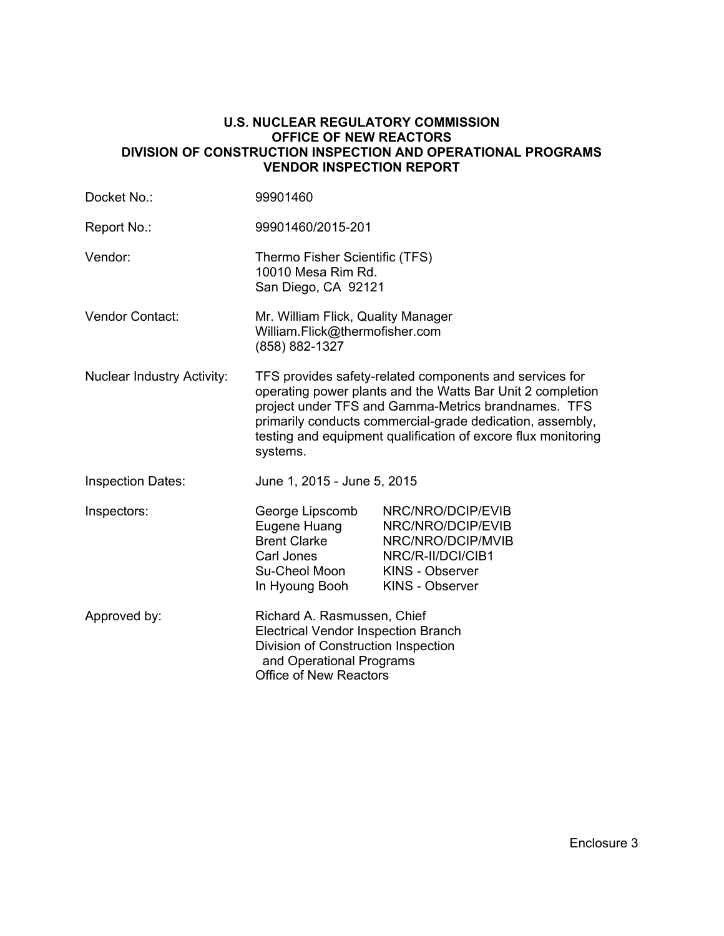## **U.S. NUCLEAR REGULATORY COMMISSION OFFICE OF NEW REACTORS DIVISION OF CONSTRUCTION INSPECTION AND OPERATIONAL PROGRAMS VENDOR INSPECTION REPORT**

| Docket No.:                       | 99901460                                                                                                                                                                                                                                                                                                               |                                                                                                                                      |  |
|-----------------------------------|------------------------------------------------------------------------------------------------------------------------------------------------------------------------------------------------------------------------------------------------------------------------------------------------------------------------|--------------------------------------------------------------------------------------------------------------------------------------|--|
| Report No.:                       | 99901460/2015-201                                                                                                                                                                                                                                                                                                      |                                                                                                                                      |  |
| Vendor:                           | Thermo Fisher Scientific (TFS)<br>10010 Mesa Rim Rd.<br>San Diego, CA 92121                                                                                                                                                                                                                                            |                                                                                                                                      |  |
| <b>Vendor Contact:</b>            | Mr. William Flick, Quality Manager<br>William.Flick@thermofisher.com<br>(858) 882-1327                                                                                                                                                                                                                                 |                                                                                                                                      |  |
| <b>Nuclear Industry Activity:</b> | TFS provides safety-related components and services for<br>operating power plants and the Watts Bar Unit 2 completion<br>project under TFS and Gamma-Metrics brandnames. TFS<br>primarily conducts commercial-grade dedication, assembly,<br>testing and equipment qualification of excore flux monitoring<br>systems. |                                                                                                                                      |  |
| <b>Inspection Dates:</b>          | June 1, 2015 - June 5, 2015                                                                                                                                                                                                                                                                                            |                                                                                                                                      |  |
| Inspectors:                       | George Lipscomb<br>Eugene Huang<br><b>Brent Clarke</b><br>Carl Jones<br>Su-Cheol Moon<br>In Hyoung Booh                                                                                                                                                                                                                | NRC/NRO/DCIP/EVIB<br>NRC/NRO/DCIP/EVIB<br>NRC/NRO/DCIP/MVIB<br>NRC/R-II/DCI/CIB1<br><b>KINS - Observer</b><br><b>KINS - Observer</b> |  |
| Approved by:                      | Richard A. Rasmussen, Chief<br><b>Electrical Vendor Inspection Branch</b><br>Division of Construction Inspection<br>and Operational Programs<br>Office of New Reactors                                                                                                                                                 |                                                                                                                                      |  |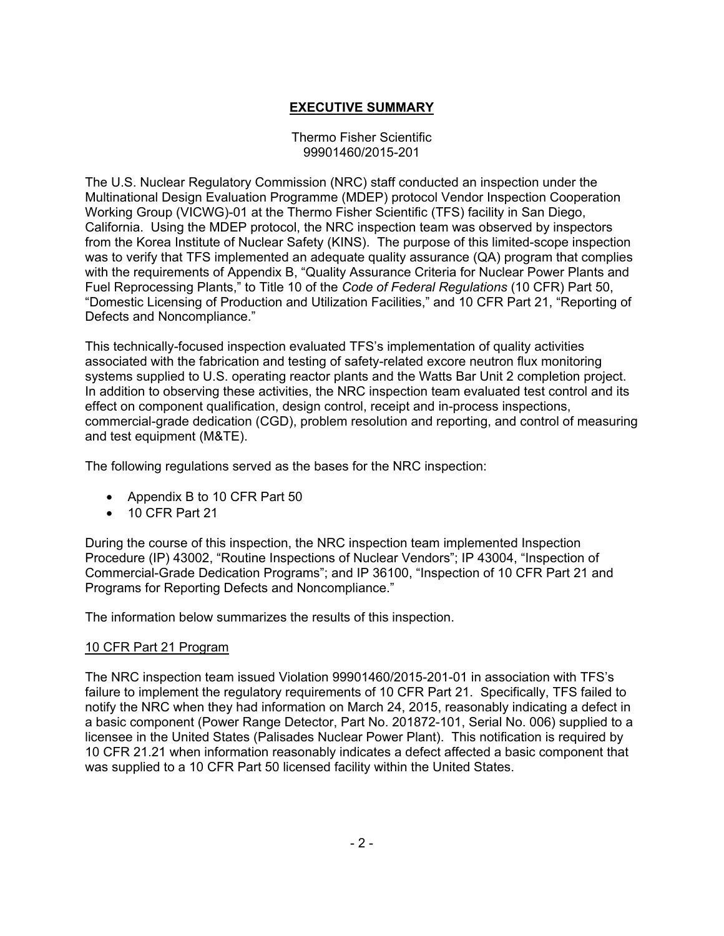# **EXECUTIVE SUMMARY**

#### Thermo Fisher Scientific 99901460/2015-201

The U.S. Nuclear Regulatory Commission (NRC) staff conducted an inspection under the Multinational Design Evaluation Programme (MDEP) protocol Vendor Inspection Cooperation Working Group (VICWG)-01 at the Thermo Fisher Scientific (TFS) facility in San Diego, California. Using the MDEP protocol, the NRC inspection team was observed by inspectors from the Korea Institute of Nuclear Safety (KINS). The purpose of this limited-scope inspection was to verify that TFS implemented an adequate quality assurance (QA) program that complies with the requirements of Appendix B, "Quality Assurance Criteria for Nuclear Power Plants and Fuel Reprocessing Plants," to Title 10 of the *Code of Federal Regulations* (10 CFR) Part 50, "Domestic Licensing of Production and Utilization Facilities," and 10 CFR Part 21, "Reporting of Defects and Noncompliance."

This technically-focused inspection evaluated TFS's implementation of quality activities associated with the fabrication and testing of safety-related excore neutron flux monitoring systems supplied to U.S. operating reactor plants and the Watts Bar Unit 2 completion project. In addition to observing these activities, the NRC inspection team evaluated test control and its effect on component qualification, design control, receipt and in-process inspections, commercial-grade dedication (CGD), problem resolution and reporting, and control of measuring and test equipment (M&TE).

The following regulations served as the bases for the NRC inspection:

- Appendix B to 10 CFR Part 50
- 10 CFR Part 21

During the course of this inspection, the NRC inspection team implemented Inspection Procedure (IP) 43002, "Routine Inspections of Nuclear Vendors"; IP 43004, "Inspection of Commercial-Grade Dedication Programs"; and IP 36100, "Inspection of 10 CFR Part 21 and Programs for Reporting Defects and Noncompliance."

The information below summarizes the results of this inspection.

## 10 CFR Part 21 Program

The NRC inspection team issued Violation 99901460/2015-201-01 in association with TFS's failure to implement the regulatory requirements of 10 CFR Part 21. Specifically, TFS failed to notify the NRC when they had information on March 24, 2015, reasonably indicating a defect in a basic component (Power Range Detector, Part No. 201872-101, Serial No. 006) supplied to a licensee in the United States (Palisades Nuclear Power Plant). This notification is required by 10 CFR 21.21 when information reasonably indicates a defect affected a basic component that was supplied to a 10 CFR Part 50 licensed facility within the United States.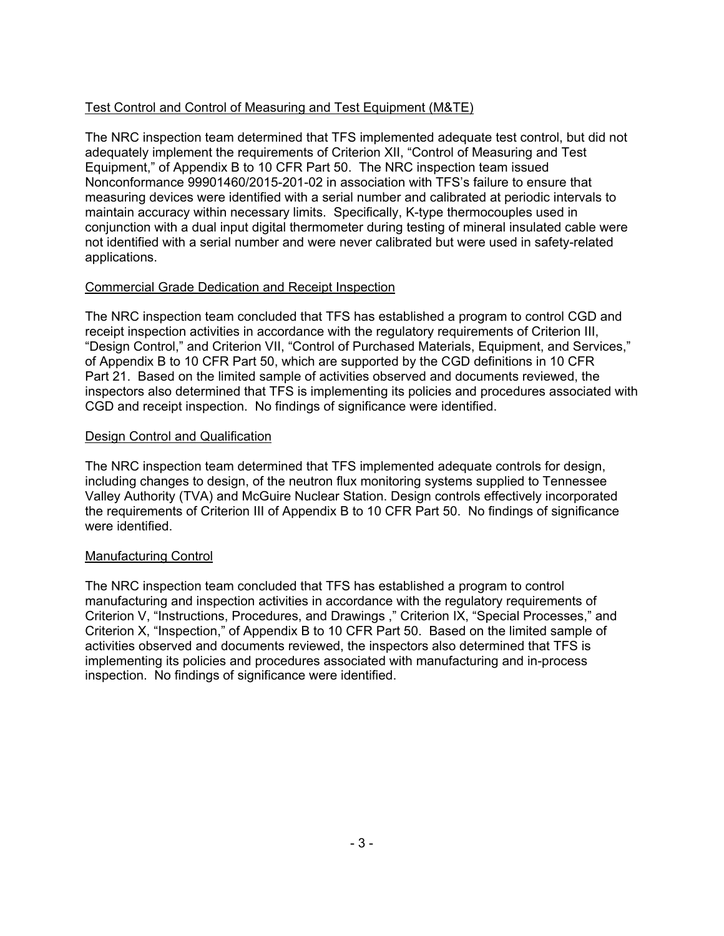# Test Control and Control of Measuring and Test Equipment (M&TE)

The NRC inspection team determined that TFS implemented adequate test control, but did not adequately implement the requirements of Criterion XII, "Control of Measuring and Test Equipment," of Appendix B to 10 CFR Part 50. The NRC inspection team issued Nonconformance 99901460/2015-201-02 in association with TFS's failure to ensure that measuring devices were identified with a serial number and calibrated at periodic intervals to maintain accuracy within necessary limits. Specifically, K-type thermocouples used in conjunction with a dual input digital thermometer during testing of mineral insulated cable were not identified with a serial number and were never calibrated but were used in safety-related applications.

# Commercial Grade Dedication and Receipt Inspection

The NRC inspection team concluded that TFS has established a program to control CGD and receipt inspection activities in accordance with the regulatory requirements of Criterion III, "Design Control," and Criterion VII, "Control of Purchased Materials, Equipment, and Services," of Appendix B to 10 CFR Part 50, which are supported by the CGD definitions in 10 CFR Part 21. Based on the limited sample of activities observed and documents reviewed, the inspectors also determined that TFS is implementing its policies and procedures associated with CGD and receipt inspection. No findings of significance were identified.

## Design Control and Qualification

The NRC inspection team determined that TFS implemented adequate controls for design, including changes to design, of the neutron flux monitoring systems supplied to Tennessee Valley Authority (TVA) and McGuire Nuclear Station. Design controls effectively incorporated the requirements of Criterion III of Appendix B to 10 CFR Part 50. No findings of significance were identified.

# Manufacturing Control

The NRC inspection team concluded that TFS has established a program to control manufacturing and inspection activities in accordance with the regulatory requirements of Criterion V, "Instructions, Procedures, and Drawings ," Criterion IX, "Special Processes," and Criterion X, "Inspection," of Appendix B to 10 CFR Part 50. Based on the limited sample of activities observed and documents reviewed, the inspectors also determined that TFS is implementing its policies and procedures associated with manufacturing and in-process inspection. No findings of significance were identified.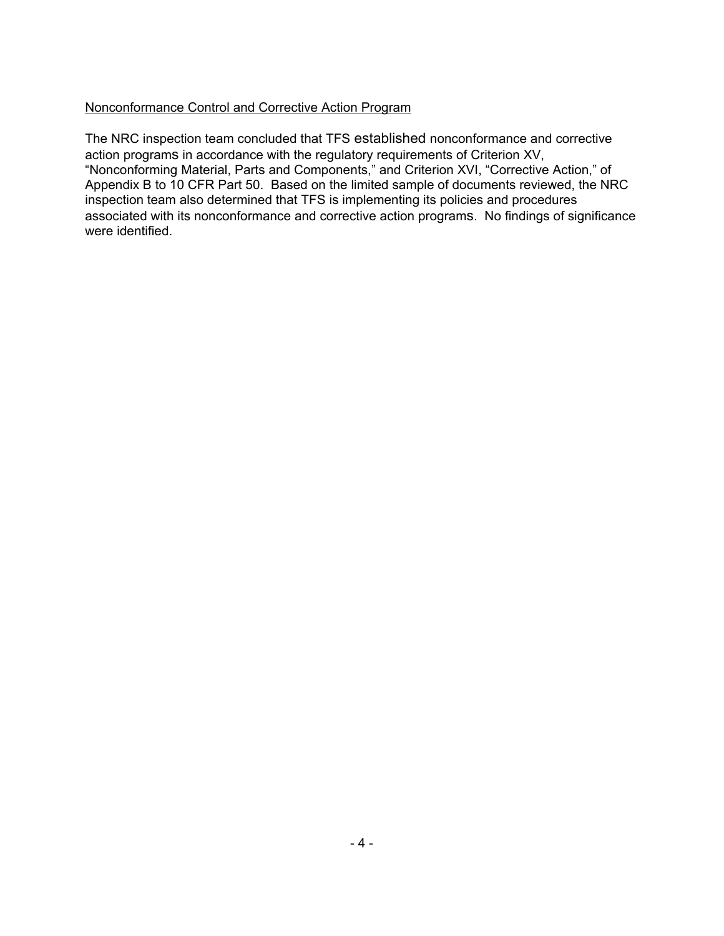# Nonconformance Control and Corrective Action Program

The NRC inspection team concluded that TFS established nonconformance and corrective action programs in accordance with the regulatory requirements of Criterion XV, "Nonconforming Material, Parts and Components," and Criterion XVI, "Corrective Action," of Appendix B to 10 CFR Part 50. Based on the limited sample of documents reviewed, the NRC inspection team also determined that TFS is implementing its policies and procedures associated with its nonconformance and corrective action programs. No findings of significance were identified.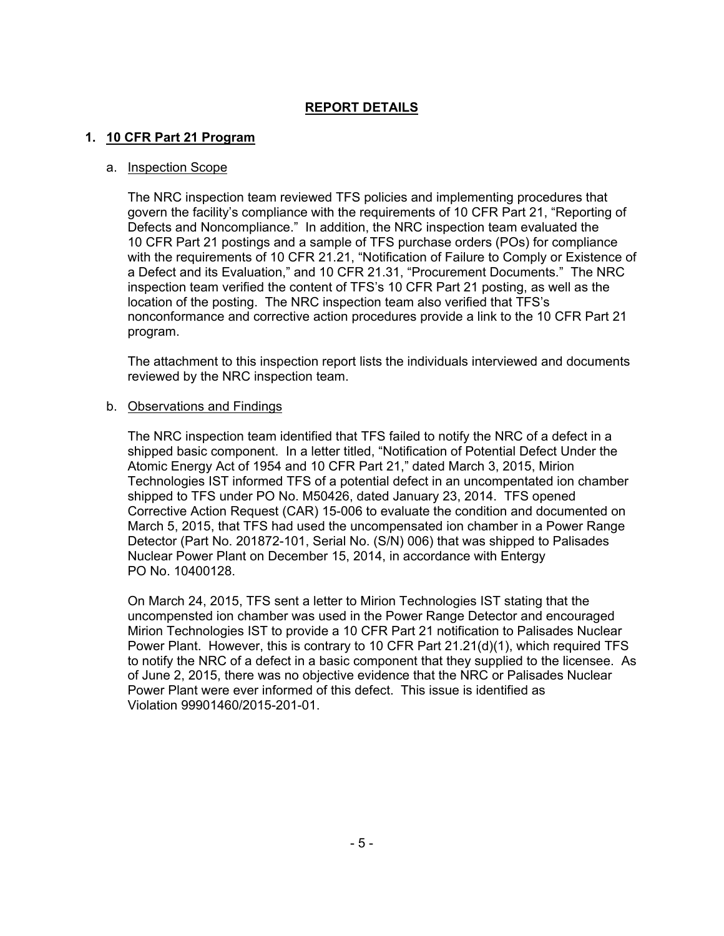# **REPORT DETAILS**

## **1. 10 CFR Part 21 Program**

#### a. Inspection Scope

The NRC inspection team reviewed TFS policies and implementing procedures that govern the facility's compliance with the requirements of 10 CFR Part 21, "Reporting of Defects and Noncompliance." In addition, the NRC inspection team evaluated the 10 CFR Part 21 postings and a sample of TFS purchase orders (POs) for compliance with the requirements of 10 CFR 21.21, "Notification of Failure to Comply or Existence of a Defect and its Evaluation," and 10 CFR 21.31, "Procurement Documents." The NRC inspection team verified the content of TFS's 10 CFR Part 21 posting, as well as the location of the posting. The NRC inspection team also verified that TFS's nonconformance and corrective action procedures provide a link to the 10 CFR Part 21 program.

The attachment to this inspection report lists the individuals interviewed and documents reviewed by the NRC inspection team.

#### b. Observations and Findings

The NRC inspection team identified that TFS failed to notify the NRC of a defect in a shipped basic component. In a letter titled, "Notification of Potential Defect Under the Atomic Energy Act of 1954 and 10 CFR Part 21," dated March 3, 2015, Mirion Technologies IST informed TFS of a potential defect in an uncompentated ion chamber shipped to TFS under PO No. M50426, dated January 23, 2014. TFS opened Corrective Action Request (CAR) 15-006 to evaluate the condition and documented on March 5, 2015, that TFS had used the uncompensated ion chamber in a Power Range Detector (Part No. 201872-101, Serial No. (S/N) 006) that was shipped to Palisades Nuclear Power Plant on December 15, 2014, in accordance with Entergy PO No. 10400128.

On March 24, 2015, TFS sent a letter to Mirion Technologies IST stating that the uncompensted ion chamber was used in the Power Range Detector and encouraged Mirion Technologies IST to provide a 10 CFR Part 21 notification to Palisades Nuclear Power Plant. However, this is contrary to 10 CFR Part 21.21(d)(1), which required TFS to notify the NRC of a defect in a basic component that they supplied to the licensee. As of June 2, 2015, there was no objective evidence that the NRC or Palisades Nuclear Power Plant were ever informed of this defect. This issue is identified as Violation 99901460/2015-201-01.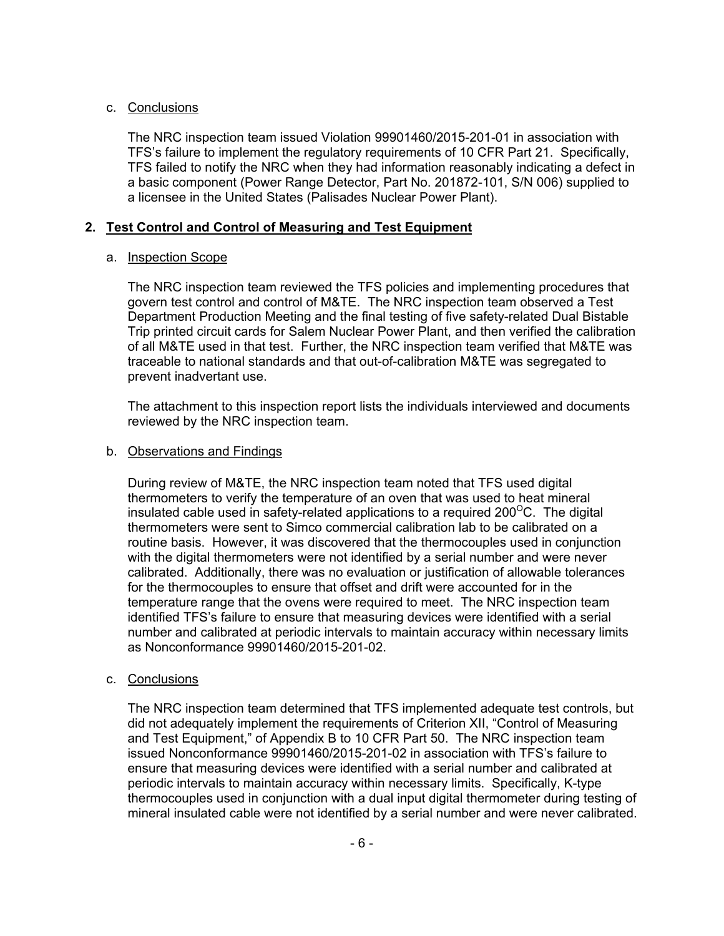## c. Conclusions

The NRC inspection team issued Violation 99901460/2015-201-01 in association with TFS's failure to implement the regulatory requirements of 10 CFR Part 21. Specifically, TFS failed to notify the NRC when they had information reasonably indicating a defect in a basic component (Power Range Detector, Part No. 201872-101, S/N 006) supplied to a licensee in the United States (Palisades Nuclear Power Plant).

## **2. Test Control and Control of Measuring and Test Equipment**

### a. Inspection Scope

The NRC inspection team reviewed the TFS policies and implementing procedures that govern test control and control of M&TE. The NRC inspection team observed a Test Department Production Meeting and the final testing of five safety-related Dual Bistable Trip printed circuit cards for Salem Nuclear Power Plant, and then verified the calibration of all M&TE used in that test. Further, the NRC inspection team verified that M&TE was traceable to national standards and that out-of-calibration M&TE was segregated to prevent inadvertant use.

The attachment to this inspection report lists the individuals interviewed and documents reviewed by the NRC inspection team.

#### b. Observations and Findings

During review of M&TE, the NRC inspection team noted that TFS used digital thermometers to verify the temperature of an oven that was used to heat mineral insulated cable used in safety-related applications to a required 200 $\mathrm{^{\circ}C}$ . The digital thermometers were sent to Simco commercial calibration lab to be calibrated on a routine basis. However, it was discovered that the thermocouples used in conjunction with the digital thermometers were not identified by a serial number and were never calibrated. Additionally, there was no evaluation or justification of allowable tolerances for the thermocouples to ensure that offset and drift were accounted for in the temperature range that the ovens were required to meet. The NRC inspection team identified TFS's failure to ensure that measuring devices were identified with a serial number and calibrated at periodic intervals to maintain accuracy within necessary limits as Nonconformance 99901460/2015-201-02.

#### c. Conclusions

The NRC inspection team determined that TFS implemented adequate test controls, but did not adequately implement the requirements of Criterion XII, "Control of Measuring and Test Equipment," of Appendix B to 10 CFR Part 50. The NRC inspection team issued Nonconformance 99901460/2015-201-02 in association with TFS's failure to ensure that measuring devices were identified with a serial number and calibrated at periodic intervals to maintain accuracy within necessary limits. Specifically, K-type thermocouples used in conjunction with a dual input digital thermometer during testing of mineral insulated cable were not identified by a serial number and were never calibrated.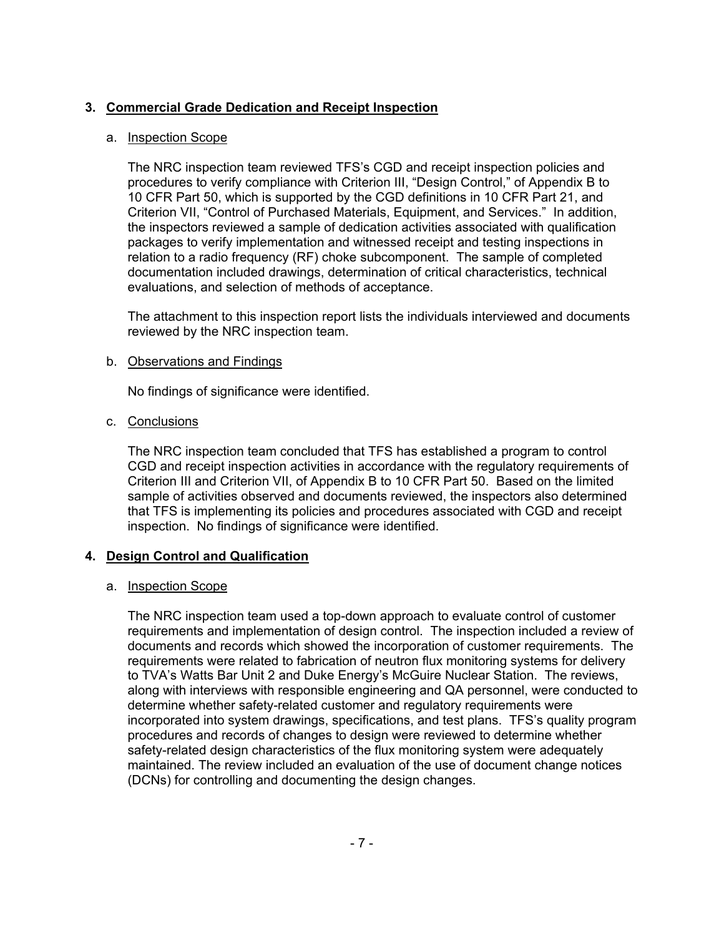# **3. Commercial Grade Dedication and Receipt Inspection**

## a. Inspection Scope

The NRC inspection team reviewed TFS's CGD and receipt inspection policies and procedures to verify compliance with Criterion III, "Design Control," of Appendix B to 10 CFR Part 50, which is supported by the CGD definitions in 10 CFR Part 21, and Criterion VII, "Control of Purchased Materials, Equipment, and Services." In addition, the inspectors reviewed a sample of dedication activities associated with qualification packages to verify implementation and witnessed receipt and testing inspections in relation to a radio frequency (RF) choke subcomponent. The sample of completed documentation included drawings, determination of critical characteristics, technical evaluations, and selection of methods of acceptance.

The attachment to this inspection report lists the individuals interviewed and documents reviewed by the NRC inspection team.

### b. Observations and Findings

No findings of significance were identified.

### c. Conclusions

The NRC inspection team concluded that TFS has established a program to control CGD and receipt inspection activities in accordance with the regulatory requirements of Criterion III and Criterion VII, of Appendix B to 10 CFR Part 50. Based on the limited sample of activities observed and documents reviewed, the inspectors also determined that TFS is implementing its policies and procedures associated with CGD and receipt inspection. No findings of significance were identified.

## **4. Design Control and Qualification**

## a. Inspection Scope

The NRC inspection team used a top-down approach to evaluate control of customer requirements and implementation of design control. The inspection included a review of documents and records which showed the incorporation of customer requirements. The requirements were related to fabrication of neutron flux monitoring systems for delivery to TVA's Watts Bar Unit 2 and Duke Energy's McGuire Nuclear Station. The reviews, along with interviews with responsible engineering and QA personnel, were conducted to determine whether safety-related customer and regulatory requirements were incorporated into system drawings, specifications, and test plans. TFS's quality program procedures and records of changes to design were reviewed to determine whether safety-related design characteristics of the flux monitoring system were adequately maintained. The review included an evaluation of the use of document change notices (DCNs) for controlling and documenting the design changes.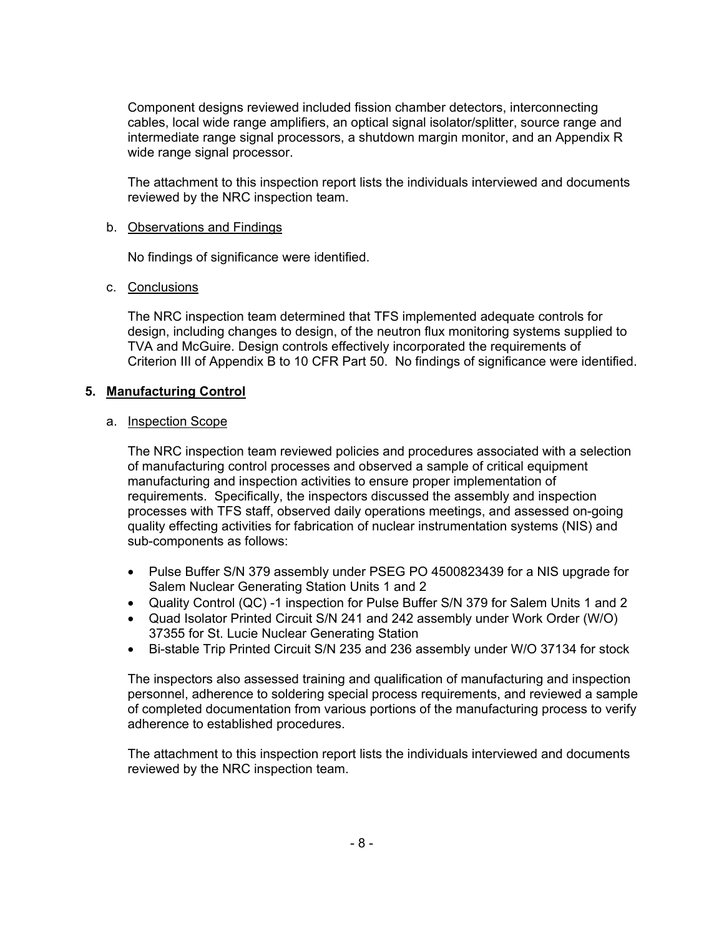Component designs reviewed included fission chamber detectors, interconnecting cables, local wide range amplifiers, an optical signal isolator/splitter, source range and intermediate range signal processors, a shutdown margin monitor, and an Appendix R wide range signal processor.

The attachment to this inspection report lists the individuals interviewed and documents reviewed by the NRC inspection team.

### b. Observations and Findings

No findings of significance were identified.

### c. Conclusions

The NRC inspection team determined that TFS implemented adequate controls for design, including changes to design, of the neutron flux monitoring systems supplied to TVA and McGuire. Design controls effectively incorporated the requirements of Criterion III of Appendix B to 10 CFR Part 50. No findings of significance were identified.

### **5. Manufacturing Control**

#### a. Inspection Scope

The NRC inspection team reviewed policies and procedures associated with a selection of manufacturing control processes and observed a sample of critical equipment manufacturing and inspection activities to ensure proper implementation of requirements. Specifically, the inspectors discussed the assembly and inspection processes with TFS staff, observed daily operations meetings, and assessed on-going quality effecting activities for fabrication of nuclear instrumentation systems (NIS) and sub-components as follows:

- Pulse Buffer S/N 379 assembly under PSEG PO 4500823439 for a NIS upgrade for Salem Nuclear Generating Station Units 1 and 2
- Quality Control (QC) -1 inspection for Pulse Buffer S/N 379 for Salem Units 1 and 2
- Quad Isolator Printed Circuit S/N 241 and 242 assembly under Work Order (W/O) 37355 for St. Lucie Nuclear Generating Station
- Bi-stable Trip Printed Circuit S/N 235 and 236 assembly under W/O 37134 for stock

The inspectors also assessed training and qualification of manufacturing and inspection personnel, adherence to soldering special process requirements, and reviewed a sample of completed documentation from various portions of the manufacturing process to verify adherence to established procedures.

The attachment to this inspection report lists the individuals interviewed and documents reviewed by the NRC inspection team.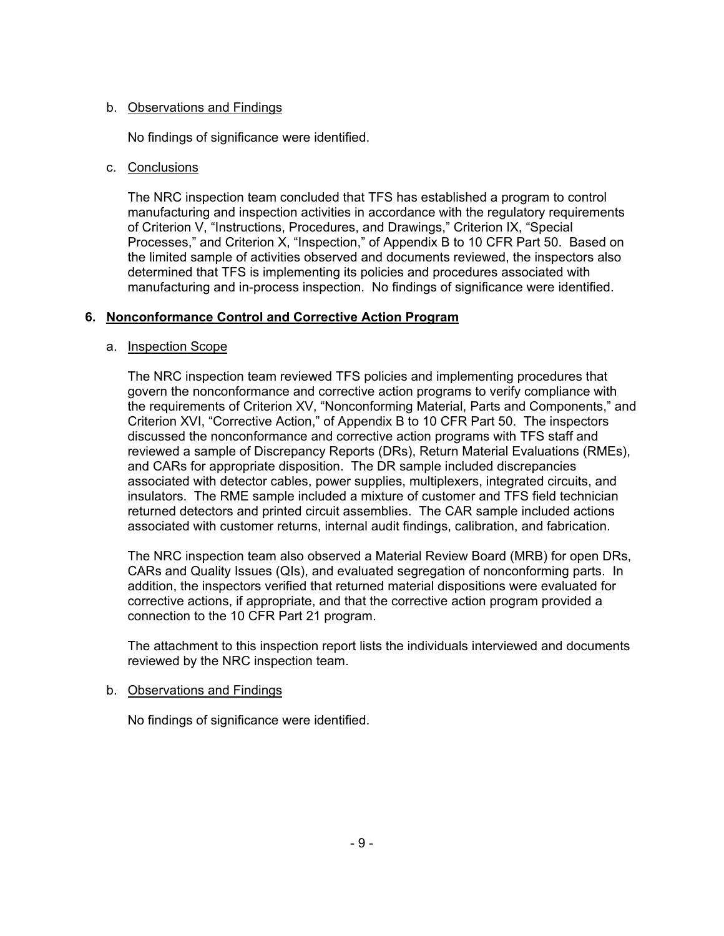## b. Observations and Findings

No findings of significance were identified.

## c. Conclusions

The NRC inspection team concluded that TFS has established a program to control manufacturing and inspection activities in accordance with the regulatory requirements of Criterion V, "Instructions, Procedures, and Drawings," Criterion IX, "Special Processes," and Criterion X, "Inspection," of Appendix B to 10 CFR Part 50. Based on the limited sample of activities observed and documents reviewed, the inspectors also determined that TFS is implementing its policies and procedures associated with manufacturing and in-process inspection. No findings of significance were identified.

# **6. Nonconformance Control and Corrective Action Program**

## a. Inspection Scope

The NRC inspection team reviewed TFS policies and implementing procedures that govern the nonconformance and corrective action programs to verify compliance with the requirements of Criterion XV, "Nonconforming Material, Parts and Components," and Criterion XVI, "Corrective Action," of Appendix B to 10 CFR Part 50. The inspectors discussed the nonconformance and corrective action programs with TFS staff and reviewed a sample of Discrepancy Reports (DRs), Return Material Evaluations (RMEs), and CARs for appropriate disposition. The DR sample included discrepancies associated with detector cables, power supplies, multiplexers, integrated circuits, and insulators. The RME sample included a mixture of customer and TFS field technician returned detectors and printed circuit assemblies. The CAR sample included actions associated with customer returns, internal audit findings, calibration, and fabrication.

The NRC inspection team also observed a Material Review Board (MRB) for open DRs, CARs and Quality Issues (QIs), and evaluated segregation of nonconforming parts. In addition, the inspectors verified that returned material dispositions were evaluated for corrective actions, if appropriate, and that the corrective action program provided a connection to the 10 CFR Part 21 program.

The attachment to this inspection report lists the individuals interviewed and documents reviewed by the NRC inspection team.

## b. Observations and Findings

No findings of significance were identified.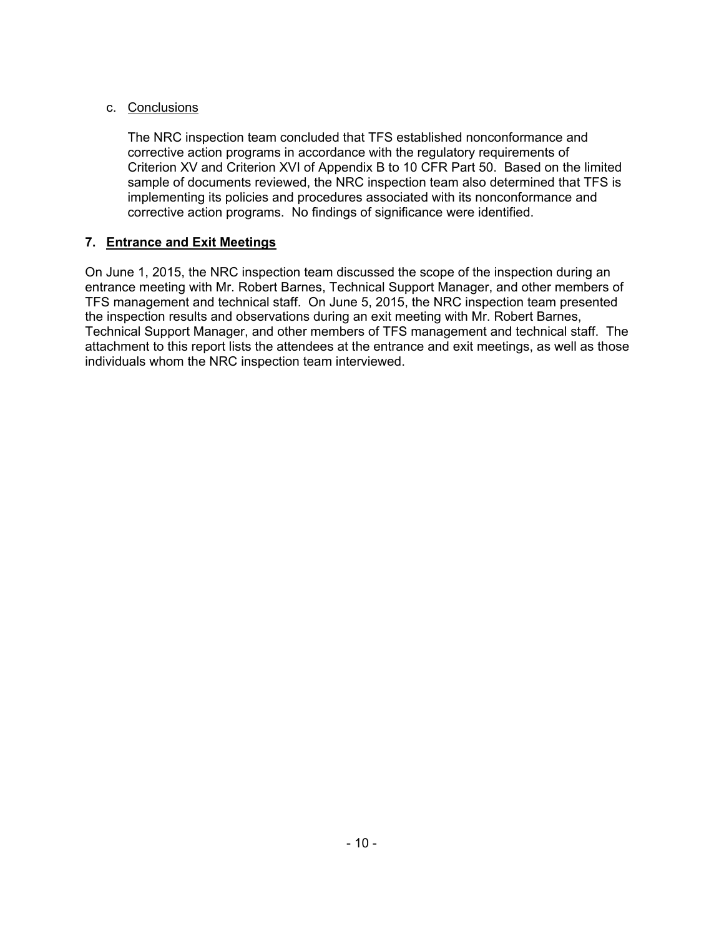# c. Conclusions

The NRC inspection team concluded that TFS established nonconformance and corrective action programs in accordance with the regulatory requirements of Criterion XV and Criterion XVI of Appendix B to 10 CFR Part 50. Based on the limited sample of documents reviewed, the NRC inspection team also determined that TFS is implementing its policies and procedures associated with its nonconformance and corrective action programs. No findings of significance were identified.

# **7. Entrance and Exit Meetings**

On June 1, 2015, the NRC inspection team discussed the scope of the inspection during an entrance meeting with Mr. Robert Barnes, Technical Support Manager, and other members of TFS management and technical staff. On June 5, 2015, the NRC inspection team presented the inspection results and observations during an exit meeting with Mr. Robert Barnes, Technical Support Manager, and other members of TFS management and technical staff. The attachment to this report lists the attendees at the entrance and exit meetings, as well as those individuals whom the NRC inspection team interviewed.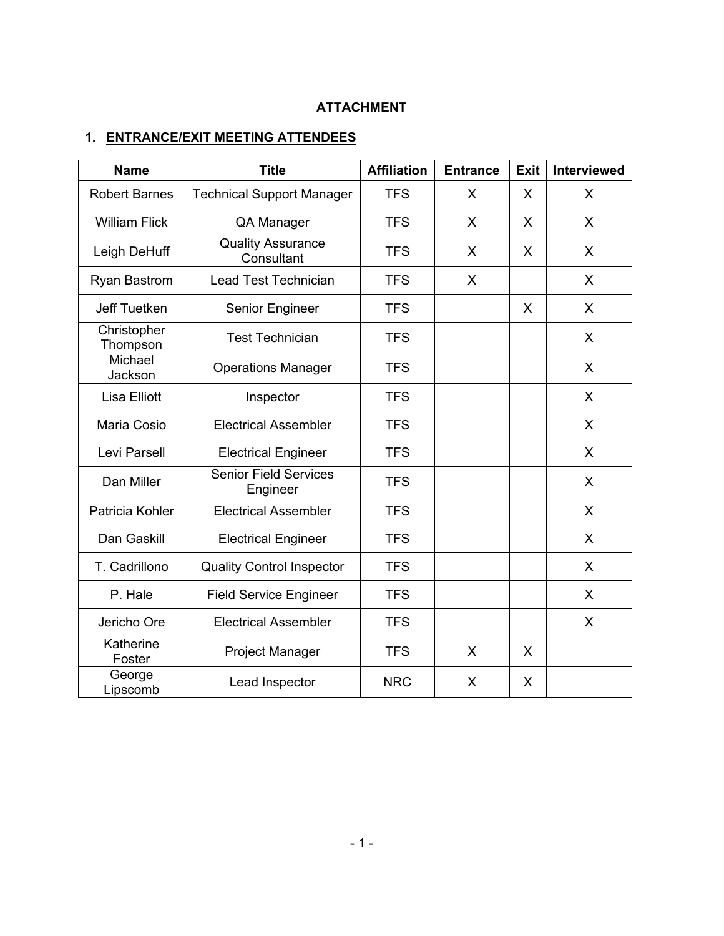# **ATTACHMENT**

# **1. ENTRANCE/EXIT MEETING ATTENDEES**

| <b>Name</b>             | <b>Title</b>                             | <b>Affiliation</b> | <b>Entrance</b> | <b>Exit</b> | <b>Interviewed</b> |
|-------------------------|------------------------------------------|--------------------|-----------------|-------------|--------------------|
| <b>Robert Barnes</b>    | <b>Technical Support Manager</b>         | <b>TFS</b>         | X               | X           | X                  |
| <b>William Flick</b>    | QA Manager                               | <b>TFS</b>         | X               | X           | X                  |
| Leigh DeHuff            | <b>Quality Assurance</b><br>Consultant   | <b>TFS</b>         | X               | X           | X                  |
| <b>Ryan Bastrom</b>     | Lead Test Technician                     | <b>TFS</b>         | X               |             | X                  |
| Jeff Tuetken            | Senior Engineer                          | <b>TFS</b>         |                 | X           | X                  |
| Christopher<br>Thompson | <b>Test Technician</b>                   | <b>TFS</b>         |                 |             | X                  |
| Michael<br>Jackson      | <b>Operations Manager</b>                | <b>TFS</b>         |                 |             | X                  |
| Lisa Elliott            | Inspector                                | <b>TFS</b>         |                 |             | X                  |
| Maria Cosio             | <b>Electrical Assembler</b>              | <b>TFS</b>         |                 |             | X                  |
| Levi Parsell            | <b>Electrical Engineer</b>               | <b>TFS</b>         |                 |             | X                  |
| Dan Miller              | <b>Senior Field Services</b><br>Engineer | <b>TFS</b>         |                 |             | X                  |
| Patricia Kohler         | <b>Electrical Assembler</b>              | <b>TFS</b>         |                 |             | X                  |
| Dan Gaskill             | <b>Electrical Engineer</b>               | <b>TFS</b>         |                 |             | X                  |
| T. Cadrillono           | <b>Quality Control Inspector</b>         | <b>TFS</b>         |                 |             | X                  |
| P. Hale                 | <b>Field Service Engineer</b>            | <b>TFS</b>         |                 |             | X                  |
| Jericho Ore             | <b>Electrical Assembler</b>              | <b>TFS</b>         |                 |             | X                  |
| Katherine<br>Foster     | Project Manager                          | <b>TFS</b>         | X               | X           |                    |
| George<br>Lipscomb      | Lead Inspector                           | <b>NRC</b>         | X               | X           |                    |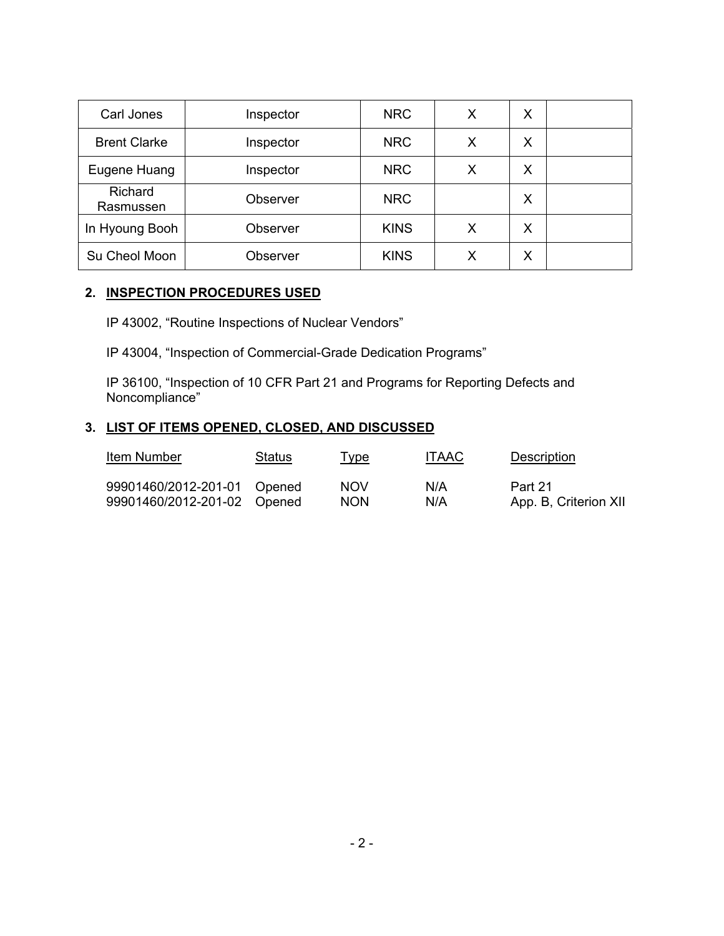| Carl Jones           | Inspector | <b>NRC</b>  | X | Х |  |
|----------------------|-----------|-------------|---|---|--|
| <b>Brent Clarke</b>  | Inspector | <b>NRC</b>  | X | X |  |
| Eugene Huang         | Inspector | <b>NRC</b>  | Х | X |  |
| Richard<br>Rasmussen | Observer  | <b>NRC</b>  |   | X |  |
| In Hyoung Booh       | Observer  | <b>KINS</b> | Х | X |  |
| Su Cheol Moon        | Observer  | <b>KINS</b> | X | Х |  |

### **2. INSPECTION PROCEDURES USED**

IP 43002, "Routine Inspections of Nuclear Vendors"

IP 43004, "Inspection of Commercial-Grade Dedication Programs"

IP 36100, "Inspection of 10 CFR Part 21 and Programs for Reporting Defects and Noncompliance"

# **3. LIST OF ITEMS OPENED, CLOSED, AND DISCUSSED**

| <b>Item Number</b>          | <b>Status</b> | <u>Type</u> | <b>ITAAC</b> | <b>Description</b>    |
|-----------------------------|---------------|-------------|--------------|-----------------------|
| 99901460/2012-201-01 Opened |               | NOV         | N/A          | Part 21               |
| 99901460/2012-201-02 Opened |               | <b>NON</b>  | N/A          | App. B, Criterion XII |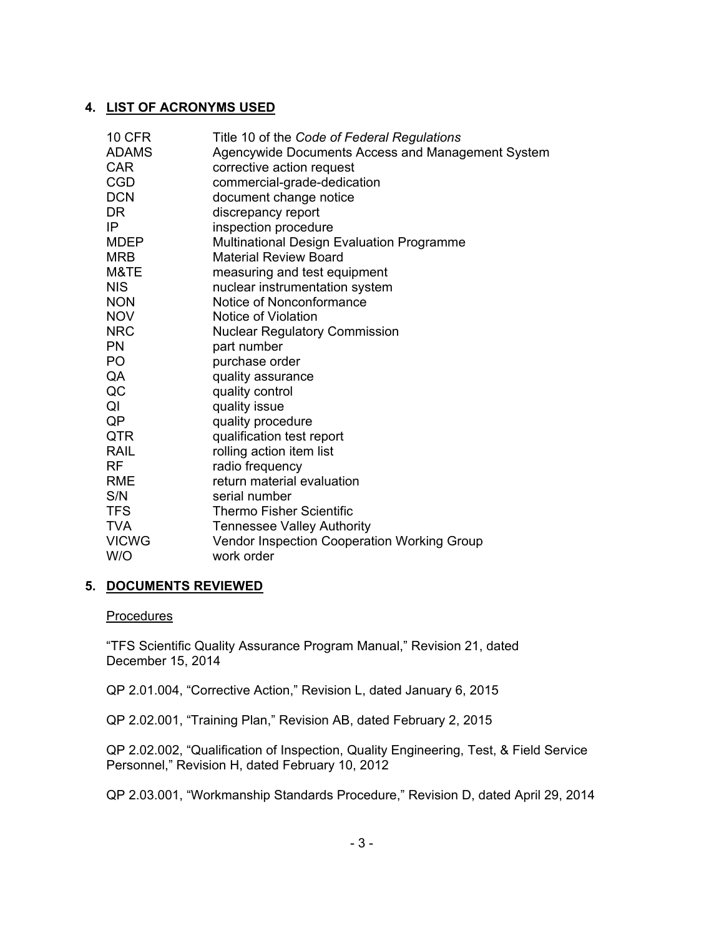# **4. LIST OF ACRONYMS USED**

| <b>10 CFR</b>  | Title 10 of the Code of Federal Regulations       |
|----------------|---------------------------------------------------|
| <b>ADAMS</b>   | Agencywide Documents Access and Management System |
| <b>CAR</b>     | corrective action request                         |
| <b>CGD</b>     | commercial-grade-dedication                       |
| <b>DCN</b>     | document change notice                            |
| <b>DR</b>      | discrepancy report                                |
| IP             | inspection procedure                              |
| <b>MDEP</b>    | Multinational Design Evaluation Programme         |
| <b>MRB</b>     | Material Review Board                             |
| M&TE           | measuring and test equipment                      |
| <b>NIS</b>     | nuclear instrumentation system                    |
| <b>NON</b>     | Notice of Nonconformance                          |
| <b>NOV</b>     | Notice of Violation                               |
| <b>NRC</b>     | <b>Nuclear Regulatory Commission</b>              |
| <b>PN</b>      | part number                                       |
| P <sub>O</sub> | purchase order                                    |
| QA             | quality assurance                                 |
| QC             | quality control                                   |
| QI             | quality issue                                     |
| QP             | quality procedure                                 |
| QTR            | qualification test report                         |
| <b>RAIL</b>    | rolling action item list                          |
| <b>RF</b>      | radio frequency                                   |
| <b>RME</b>     | return material evaluation                        |
| S/N            | serial number                                     |
| <b>TFS</b>     | <b>Thermo Fisher Scientific</b>                   |
| <b>TVA</b>     | <b>Tennessee Valley Authority</b>                 |
| <b>VICWG</b>   | Vendor Inspection Cooperation Working Group       |
| W/O            | work order                                        |

# **5. DOCUMENTS REVIEWED**

#### **Procedures**

"TFS Scientific Quality Assurance Program Manual," Revision 21, dated December 15, 2014

QP 2.01.004, "Corrective Action," Revision L, dated January 6, 2015

QP 2.02.001, "Training Plan," Revision AB, dated February 2, 2015

QP 2.02.002, "Qualification of Inspection, Quality Engineering, Test, & Field Service Personnel," Revision H, dated February 10, 2012

QP 2.03.001, "Workmanship Standards Procedure," Revision D, dated April 29, 2014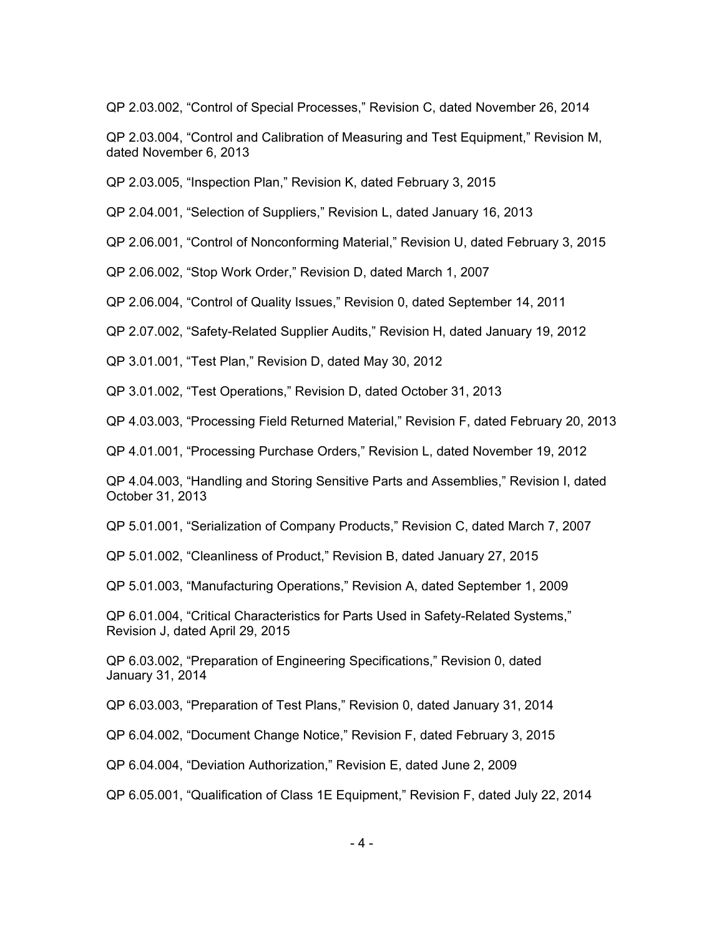QP 2.03.002, "Control of Special Processes," Revision C, dated November 26, 2014

QP 2.03.004, "Control and Calibration of Measuring and Test Equipment," Revision M, dated November 6, 2013

QP 2.03.005, "Inspection Plan," Revision K, dated February 3, 2015

QP 2.04.001, "Selection of Suppliers," Revision L, dated January 16, 2013

QP 2.06.001, "Control of Nonconforming Material," Revision U, dated February 3, 2015

QP 2.06.002, "Stop Work Order," Revision D, dated March 1, 2007

QP 2.06.004, "Control of Quality Issues," Revision 0, dated September 14, 2011

QP 2.07.002, "Safety-Related Supplier Audits," Revision H, dated January 19, 2012

QP 3.01.001, "Test Plan," Revision D, dated May 30, 2012

QP 3.01.002, "Test Operations," Revision D, dated October 31, 2013

QP 4.03.003, "Processing Field Returned Material," Revision F, dated February 20, 2013

QP 4.01.001, "Processing Purchase Orders," Revision L, dated November 19, 2012

QP 4.04.003, "Handling and Storing Sensitive Parts and Assemblies," Revision I, dated October 31, 2013

QP 5.01.001, "Serialization of Company Products," Revision C, dated March 7, 2007

QP 5.01.002, "Cleanliness of Product," Revision B, dated January 27, 2015

QP 5.01.003, "Manufacturing Operations," Revision A, dated September 1, 2009

QP 6.01.004, "Critical Characteristics for Parts Used in Safety-Related Systems," Revision J, dated April 29, 2015

QP 6.03.002, "Preparation of Engineering Specifications," Revision 0, dated January 31, 2014

QP 6.03.003, "Preparation of Test Plans," Revision 0, dated January 31, 2014

QP 6.04.002, "Document Change Notice," Revision F, dated February 3, 2015

QP 6.04.004, "Deviation Authorization," Revision E, dated June 2, 2009

QP 6.05.001, "Qualification of Class 1E Equipment," Revision F, dated July 22, 2014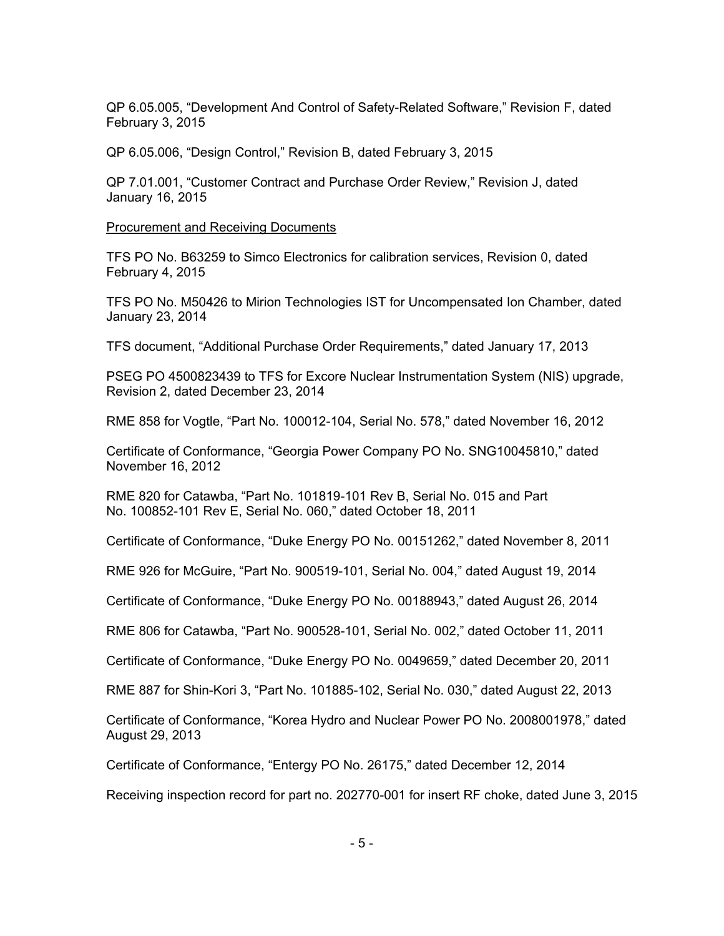QP 6.05.005, "Development And Control of Safety-Related Software," Revision F, dated February 3, 2015

QP 6.05.006, "Design Control," Revision B, dated February 3, 2015

QP 7.01.001, "Customer Contract and Purchase Order Review," Revision J, dated January 16, 2015

Procurement and Receiving Documents

TFS PO No. B63259 to Simco Electronics for calibration services, Revision 0, dated February 4, 2015

TFS PO No. M50426 to Mirion Technologies IST for Uncompensated Ion Chamber, dated January 23, 2014

TFS document, "Additional Purchase Order Requirements," dated January 17, 2013

PSEG PO 4500823439 to TFS for Excore Nuclear Instrumentation System (NIS) upgrade, Revision 2, dated December 23, 2014

RME 858 for Vogtle, "Part No. 100012-104, Serial No. 578," dated November 16, 2012

Certificate of Conformance, "Georgia Power Company PO No. SNG10045810," dated November 16, 2012

RME 820 for Catawba, "Part No. 101819-101 Rev B, Serial No. 015 and Part No. 100852-101 Rev E, Serial No. 060," dated October 18, 2011

Certificate of Conformance, "Duke Energy PO No. 00151262," dated November 8, 2011

RME 926 for McGuire, "Part No. 900519-101, Serial No. 004," dated August 19, 2014

Certificate of Conformance, "Duke Energy PO No. 00188943," dated August 26, 2014

RME 806 for Catawba, "Part No. 900528-101, Serial No. 002," dated October 11, 2011

Certificate of Conformance, "Duke Energy PO No. 0049659," dated December 20, 2011

RME 887 for Shin-Kori 3, "Part No. 101885-102, Serial No. 030," dated August 22, 2013

Certificate of Conformance, "Korea Hydro and Nuclear Power PO No. 2008001978," dated August 29, 2013

Certificate of Conformance, "Entergy PO No. 26175," dated December 12, 2014

Receiving inspection record for part no. 202770-001 for insert RF choke, dated June 3, 2015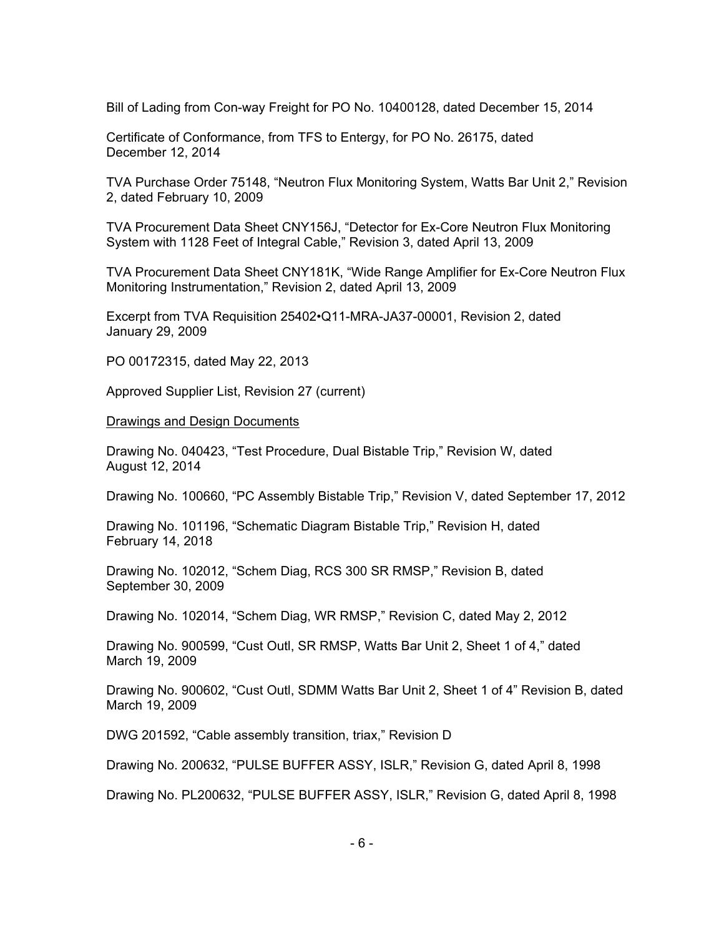Bill of Lading from Con-way Freight for PO No. 10400128, dated December 15, 2014

Certificate of Conformance, from TFS to Entergy, for PO No. 26175, dated December 12, 2014

TVA Purchase Order 75148, "Neutron Flux Monitoring System, Watts Bar Unit 2," Revision 2, dated February 10, 2009

TVA Procurement Data Sheet CNY156J, "Detector for Ex-Core Neutron Flux Monitoring System with 1128 Feet of Integral Cable," Revision 3, dated April 13, 2009

TVA Procurement Data Sheet CNY181K, "Wide Range Amplifier for Ex-Core Neutron Flux Monitoring Instrumentation," Revision 2, dated April 13, 2009

Excerpt from TVA Requisition 25402•Q11-MRA-JA37-00001, Revision 2, dated January 29, 2009

PO 00172315, dated May 22, 2013

Approved Supplier List, Revision 27 (current)

**Drawings and Design Documents** 

Drawing No. 040423, "Test Procedure, Dual Bistable Trip," Revision W, dated August 12, 2014

Drawing No. 100660, "PC Assembly Bistable Trip," Revision V, dated September 17, 2012

Drawing No. 101196, "Schematic Diagram Bistable Trip," Revision H, dated February 14, 2018

Drawing No. 102012, "Schem Diag, RCS 300 SR RMSP," Revision B, dated September 30, 2009

Drawing No. 102014, "Schem Diag, WR RMSP," Revision C, dated May 2, 2012

Drawing No. 900599, "Cust Outl, SR RMSP, Watts Bar Unit 2, Sheet 1 of 4," dated March 19, 2009

Drawing No. 900602, "Cust Outl, SDMM Watts Bar Unit 2, Sheet 1 of 4" Revision B, dated March 19, 2009

DWG 201592, "Cable assembly transition, triax," Revision D

Drawing No. 200632, "PULSE BUFFER ASSY, ISLR," Revision G, dated April 8, 1998

Drawing No. PL200632, "PULSE BUFFER ASSY, ISLR," Revision G, dated April 8, 1998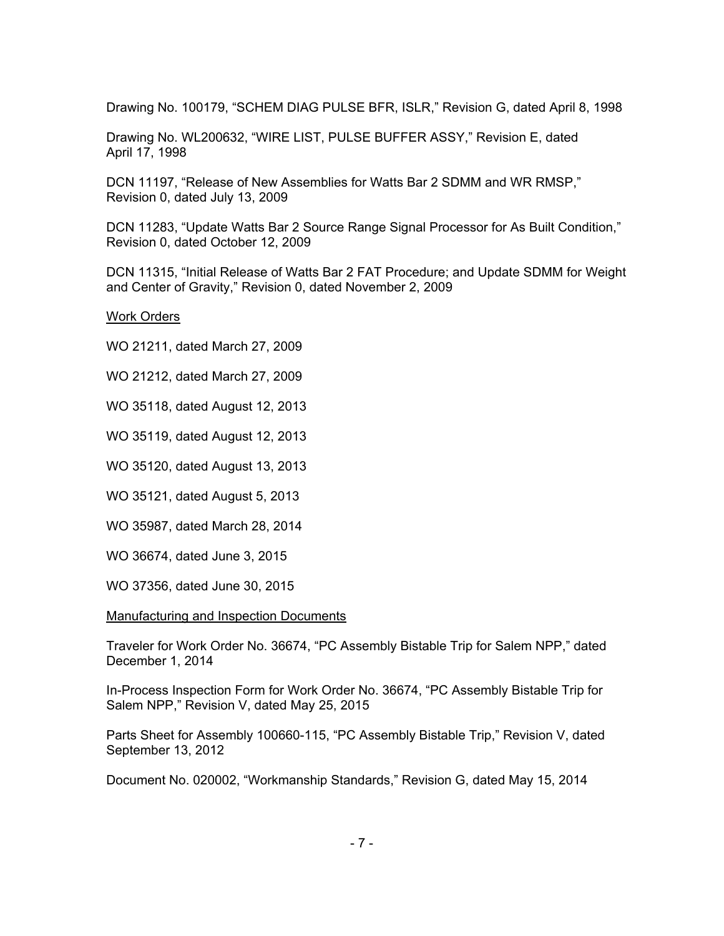Drawing No. 100179, "SCHEM DIAG PULSE BFR, ISLR," Revision G, dated April 8, 1998

Drawing No. WL200632, "WIRE LIST, PULSE BUFFER ASSY," Revision E, dated April 17, 1998

DCN 11197, "Release of New Assemblies for Watts Bar 2 SDMM and WR RMSP," Revision 0, dated July 13, 2009

DCN 11283, "Update Watts Bar 2 Source Range Signal Processor for As Built Condition," Revision 0, dated October 12, 2009

DCN 11315, "Initial Release of Watts Bar 2 FAT Procedure; and Update SDMM for Weight and Center of Gravity," Revision 0, dated November 2, 2009

Work Orders

WO 21211, dated March 27, 2009

WO 21212, dated March 27, 2009

WO 35118, dated August 12, 2013

WO 35119, dated August 12, 2013

WO 35120, dated August 13, 2013

WO 35121, dated August 5, 2013

WO 35987, dated March 28, 2014

WO 36674, dated June 3, 2015

WO 37356, dated June 30, 2015

Manufacturing and Inspection Documents

Traveler for Work Order No. 36674, "PC Assembly Bistable Trip for Salem NPP," dated December 1, 2014

In-Process Inspection Form for Work Order No. 36674, "PC Assembly Bistable Trip for Salem NPP," Revision V, dated May 25, 2015

Parts Sheet for Assembly 100660-115, "PC Assembly Bistable Trip," Revision V, dated September 13, 2012

Document No. 020002, "Workmanship Standards," Revision G, dated May 15, 2014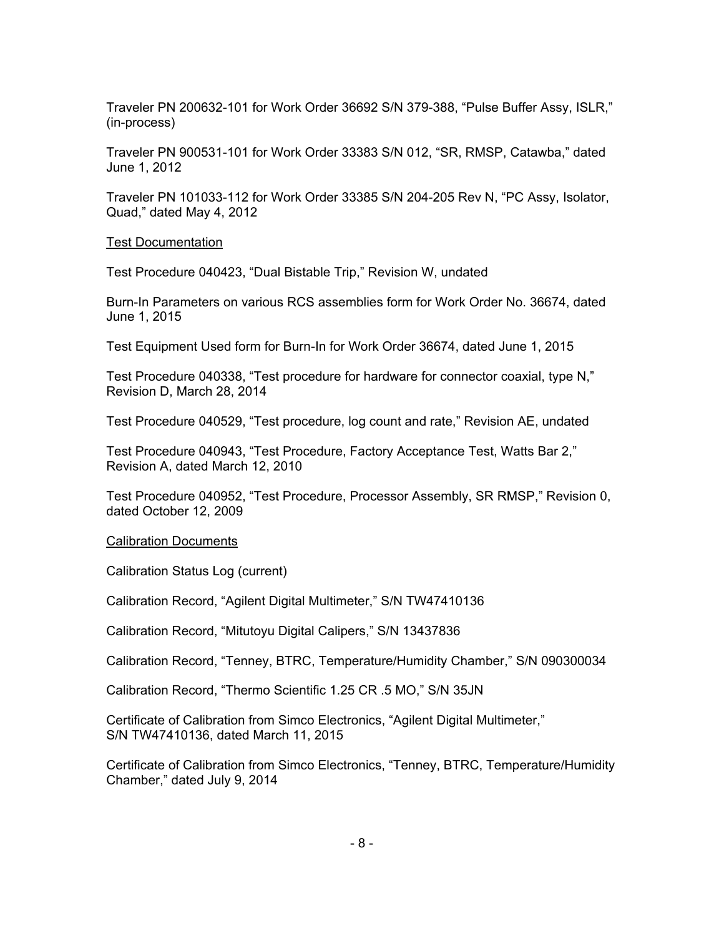Traveler PN 200632-101 for Work Order 36692 S/N 379-388, "Pulse Buffer Assy, ISLR," (in-process)

Traveler PN 900531-101 for Work Order 33383 S/N 012, "SR, RMSP, Catawba," dated June 1, 2012

Traveler PN 101033-112 for Work Order 33385 S/N 204-205 Rev N, "PC Assy, Isolator, Quad," dated May 4, 2012

#### Test Documentation

Test Procedure 040423, "Dual Bistable Trip," Revision W, undated

Burn-In Parameters on various RCS assemblies form for Work Order No. 36674, dated June 1, 2015

Test Equipment Used form for Burn-In for Work Order 36674, dated June 1, 2015

Test Procedure 040338, "Test procedure for hardware for connector coaxial, type N," Revision D, March 28, 2014

Test Procedure 040529, "Test procedure, log count and rate," Revision AE, undated

Test Procedure 040943, "Test Procedure, Factory Acceptance Test, Watts Bar 2," Revision A, dated March 12, 2010

Test Procedure 040952, "Test Procedure, Processor Assembly, SR RMSP," Revision 0, dated October 12, 2009

#### Calibration Documents

Calibration Status Log (current)

Calibration Record, "Agilent Digital Multimeter," S/N TW47410136

Calibration Record, "Mitutoyu Digital Calipers," S/N 13437836

Calibration Record, "Tenney, BTRC, Temperature/Humidity Chamber," S/N 090300034

Calibration Record, "Thermo Scientific 1.25 CR .5 MO," S/N 35JN

Certificate of Calibration from Simco Electronics, "Agilent Digital Multimeter," S/N TW47410136, dated March 11, 2015

Certificate of Calibration from Simco Electronics, "Tenney, BTRC, Temperature/Humidity Chamber," dated July 9, 2014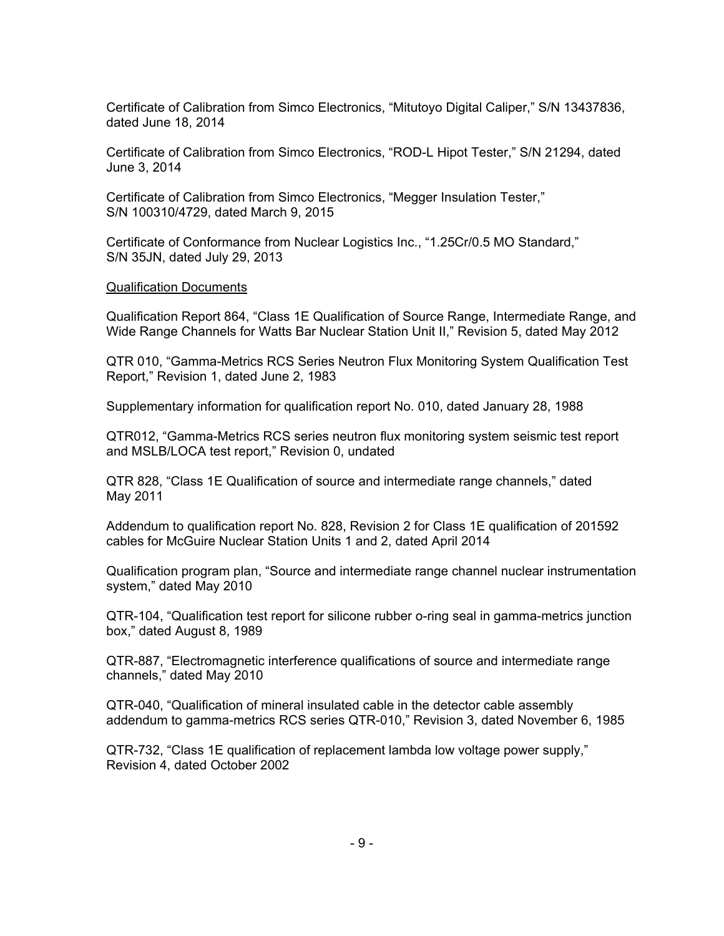Certificate of Calibration from Simco Electronics, "Mitutoyo Digital Caliper," S/N 13437836, dated June 18, 2014

Certificate of Calibration from Simco Electronics, "ROD-L Hipot Tester," S/N 21294, dated June 3, 2014

Certificate of Calibration from Simco Electronics, "Megger Insulation Tester," S/N 100310/4729, dated March 9, 2015

Certificate of Conformance from Nuclear Logistics Inc., "1.25Cr/0.5 MO Standard," S/N 35JN, dated July 29, 2013

#### Qualification Documents

Qualification Report 864, "Class 1E Qualification of Source Range, Intermediate Range, and Wide Range Channels for Watts Bar Nuclear Station Unit II," Revision 5, dated May 2012

QTR 010, "Gamma-Metrics RCS Series Neutron Flux Monitoring System Qualification Test Report," Revision 1, dated June 2, 1983

Supplementary information for qualification report No. 010, dated January 28, 1988

QTR012, "Gamma-Metrics RCS series neutron flux monitoring system seismic test report and MSLB/LOCA test report," Revision 0, undated

QTR 828, "Class 1E Qualification of source and intermediate range channels," dated May 2011

Addendum to qualification report No. 828, Revision 2 for Class 1E qualification of 201592 cables for McGuire Nuclear Station Units 1 and 2, dated April 2014

Qualification program plan, "Source and intermediate range channel nuclear instrumentation system," dated May 2010

QTR-104, "Qualification test report for silicone rubber o-ring seal in gamma-metrics junction box," dated August 8, 1989

QTR-887, "Electromagnetic interference qualifications of source and intermediate range channels," dated May 2010

QTR-040, "Qualification of mineral insulated cable in the detector cable assembly addendum to gamma-metrics RCS series QTR-010," Revision 3, dated November 6, 1985

QTR-732, "Class 1E qualification of replacement lambda low voltage power supply," Revision 4, dated October 2002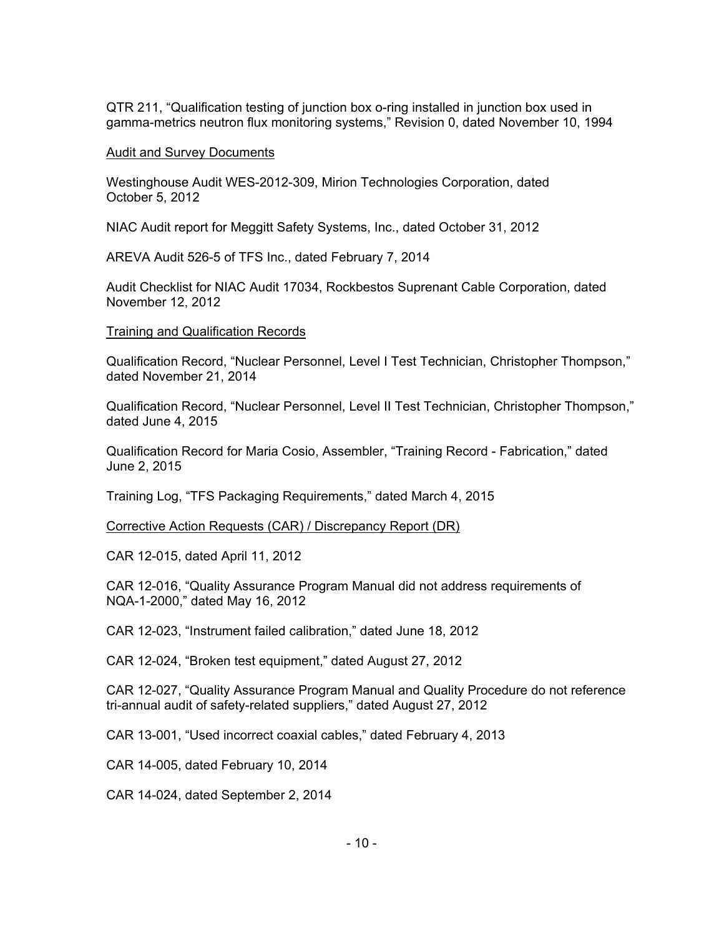QTR 211, "Qualification testing of junction box o-ring installed in junction box used in gamma-metrics neutron flux monitoring systems," Revision 0, dated November 10, 1994

#### Audit and Survey Documents

Westinghouse Audit WES-2012-309, Mirion Technologies Corporation, dated October 5, 2012

NIAC Audit report for Meggitt Safety Systems, Inc., dated October 31, 2012

AREVA Audit 526-5 of TFS Inc., dated February 7, 2014

Audit Checklist for NIAC Audit 17034, Rockbestos Suprenant Cable Corporation, dated November 12, 2012

### Training and Qualification Records

Qualification Record, "Nuclear Personnel, Level I Test Technician, Christopher Thompson," dated November 21, 2014

Qualification Record, "Nuclear Personnel, Level II Test Technician, Christopher Thompson," dated June 4, 2015

Qualification Record for Maria Cosio, Assembler, "Training Record - Fabrication," dated June 2, 2015

Training Log, "TFS Packaging Requirements," dated March 4, 2015

Corrective Action Requests (CAR) / Discrepancy Report (DR)

CAR 12-015, dated April 11, 2012

CAR 12-016, "Quality Assurance Program Manual did not address requirements of NQA-1-2000," dated May 16, 2012

CAR 12-023, "Instrument failed calibration," dated June 18, 2012

CAR 12-024, "Broken test equipment," dated August 27, 2012

CAR 12-027, "Quality Assurance Program Manual and Quality Procedure do not reference tri-annual audit of safety-related suppliers," dated August 27, 2012

CAR 13-001, "Used incorrect coaxial cables," dated February 4, 2013

CAR 14-005, dated February 10, 2014

CAR 14-024, dated September 2, 2014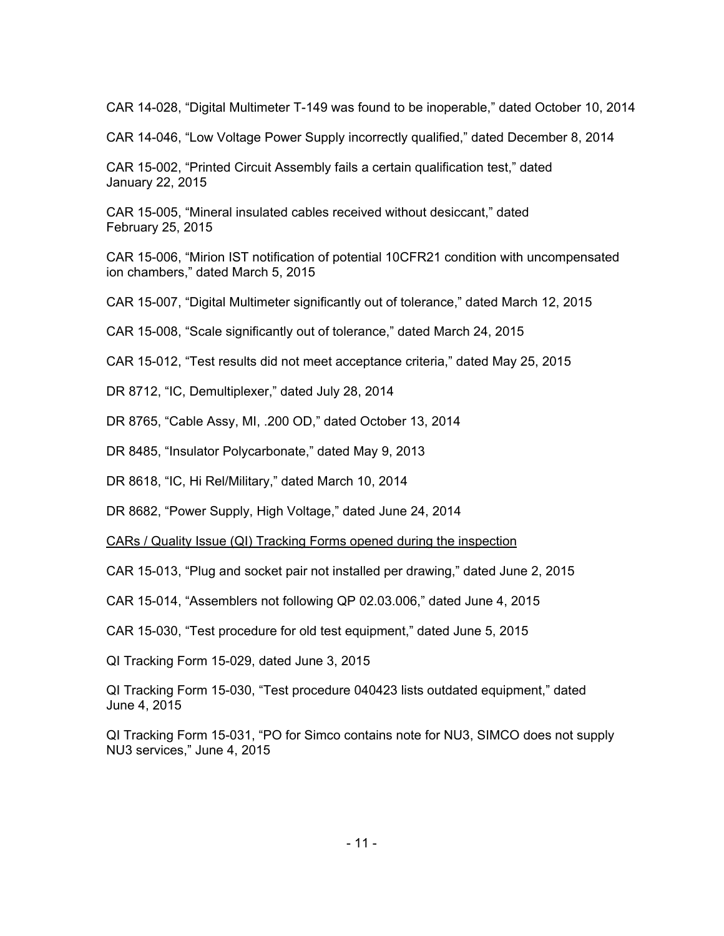CAR 14-028, "Digital Multimeter T-149 was found to be inoperable," dated October 10, 2014

CAR 14-046, "Low Voltage Power Supply incorrectly qualified," dated December 8, 2014

CAR 15-002, "Printed Circuit Assembly fails a certain qualification test," dated January 22, 2015

CAR 15-005, "Mineral insulated cables received without desiccant," dated February 25, 2015

CAR 15-006, "Mirion IST notification of potential 10CFR21 condition with uncompensated ion chambers," dated March 5, 2015

CAR 15-007, "Digital Multimeter significantly out of tolerance," dated March 12, 2015

CAR 15-008, "Scale significantly out of tolerance," dated March 24, 2015

CAR 15-012, "Test results did not meet acceptance criteria," dated May 25, 2015

DR 8712, "IC, Demultiplexer," dated July 28, 2014

DR 8765, "Cable Assy, MI, .200 OD," dated October 13, 2014

DR 8485, "Insulator Polycarbonate," dated May 9, 2013

DR 8618, "IC, Hi Rel/Military," dated March 10, 2014

DR 8682, "Power Supply, High Voltage," dated June 24, 2014

CARs / Quality Issue (QI) Tracking Forms opened during the inspection

CAR 15-013, "Plug and socket pair not installed per drawing," dated June 2, 2015

CAR 15-014, "Assemblers not following QP 02.03.006," dated June 4, 2015

CAR 15-030, "Test procedure for old test equipment," dated June 5, 2015

QI Tracking Form 15-029, dated June 3, 2015

QI Tracking Form 15-030, "Test procedure 040423 lists outdated equipment," dated June 4, 2015

QI Tracking Form 15-031, "PO for Simco contains note for NU3, SIMCO does not supply NU3 services," June 4, 2015